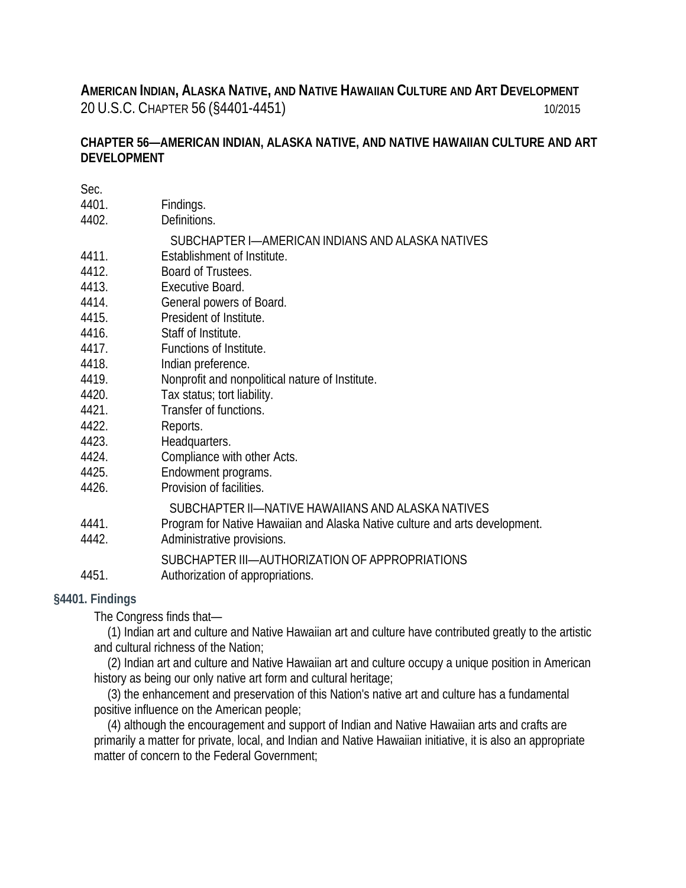**AMERICAN INDIAN, ALASKA NATIVE, AND NATIVE HAWAIIAN CULTURE AND ART DEVELOPMENT**  20 U.S.C. CHAPTER 56 (§4401-4451) 10/2015

# **CHAPTER 56—AMERICAN INDIAN, ALASKA NATIVE, AND NATIVE HAWAIIAN CULTURE AND ART DEVELOPMENT**

| Sec.  |                                                                             |
|-------|-----------------------------------------------------------------------------|
| 4401. | Findings.                                                                   |
| 4402. | Definitions.                                                                |
|       | SUBCHAPTER I—AMERICAN INDIANS AND ALASKA NATIVES                            |
| 4411. | Establishment of Institute.                                                 |
| 4412. | Board of Trustees.                                                          |
| 4413. | Executive Board.                                                            |
| 4414. | General powers of Board.                                                    |
| 4415. | President of Institute.                                                     |
| 4416. | Staff of Institute.                                                         |
| 4417. | Functions of Institute.                                                     |
| 4418. | Indian preference.                                                          |
| 4419. | Nonprofit and nonpolitical nature of Institute.                             |
| 4420. | Tax status; tort liability.                                                 |
| 4421. | Transfer of functions.                                                      |
| 4422. | Reports.                                                                    |
| 4423. | Headquarters.                                                               |
| 4424. | Compliance with other Acts.                                                 |
| 4425. | Endowment programs.                                                         |
| 4426. | Provision of facilities.                                                    |
|       | SUBCHAPTER II-NATIVE HAWAIIANS AND ALASKA NATIVES                           |
| 4441. | Program for Native Hawaiian and Alaska Native culture and arts development. |
| 4442. | Administrative provisions.                                                  |
|       | SUBCHAPTER III-AUTHORIZATION OF APPROPRIATIONS                              |
| 4451. | Authorization of appropriations.                                            |

# **§4401. Findings**

The Congress finds that—

(1) Indian art and culture and Native Hawaiian art and culture have contributed greatly to the artistic and cultural richness of the Nation;

(2) Indian art and culture and Native Hawaiian art and culture occupy a unique position in American history as being our only native art form and cultural heritage;

(3) the enhancement and preservation of this Nation's native art and culture has a fundamental positive influence on the American people;

(4) although the encouragement and support of Indian and Native Hawaiian arts and crafts are primarily a matter for private, local, and Indian and Native Hawaiian initiative, it is also an appropriate matter of concern to the Federal Government;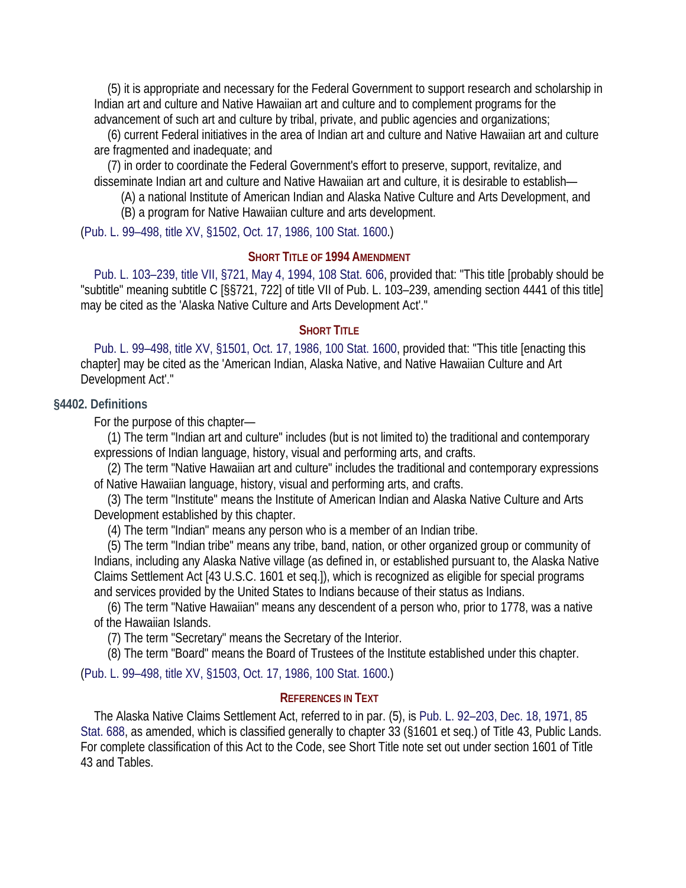(5) it is appropriate and necessary for the Federal Government to support research and scholarship in Indian art and culture and Native Hawaiian art and culture and to complement programs for the advancement of such art and culture by tribal, private, and public agencies and organizations;

(6) current Federal initiatives in the area of Indian art and culture and Native Hawaiian art and culture are fragmented and inadequate; and

(7) in order to coordinate the Federal Government's effort to preserve, support, revitalize, and disseminate Indian art and culture and Native Hawaiian art and culture, it is desirable to establish—

(A) a national Institute of American Indian and Alaska Native Culture and Arts Development, and

(B) a program for Native Hawaiian culture and arts development.

(Pub. L. 99–498, title XV, §1502, Oct. 17, 1986, 100 Stat. 1600.)

## **SHORT TITLE OF 1994 AMENDMENT**

Pub. L. 103–239, title VII, §721, May 4, 1994, 108 Stat. 606, provided that: "This title [probably should be "subtitle" meaning subtitle C [§§721, 722] of title VII of Pub. L. 103–239, amending section 4441 of this title] may be cited as the 'Alaska Native Culture and Arts Development Act'."

### **SHORT TITLE**

Pub. L. 99–498, title XV, §1501, Oct. 17, 1986, 100 Stat. 1600, provided that: "This title [enacting this chapter] may be cited as the 'American Indian, Alaska Native, and Native Hawaiian Culture and Art Development Act'."

#### **§4402. Definitions**

For the purpose of this chapter—

(1) The term "Indian art and culture" includes (but is not limited to) the traditional and contemporary expressions of Indian language, history, visual and performing arts, and crafts.

(2) The term "Native Hawaiian art and culture" includes the traditional and contemporary expressions of Native Hawaiian language, history, visual and performing arts, and crafts.

(3) The term "Institute" means the Institute of American Indian and Alaska Native Culture and Arts Development established by this chapter.

(4) The term "Indian" means any person who is a member of an Indian tribe.

(5) The term "Indian tribe" means any tribe, band, nation, or other organized group or community of Indians, including any Alaska Native village (as defined in, or established pursuant to, the Alaska Native Claims Settlement Act [43 U.S.C. 1601 et seq.]), which is recognized as eligible for special programs and services provided by the United States to Indians because of their status as Indians.

(6) The term "Native Hawaiian" means any descendent of a person who, prior to 1778, was a native of the Hawaiian Islands.

(7) The term "Secretary" means the Secretary of the Interior.

(8) The term "Board" means the Board of Trustees of the Institute established under this chapter.

(Pub. L. 99–498, title XV, §1503, Oct. 17, 1986, 100 Stat. 1600.)

#### **REFERENCES IN TEXT**

The Alaska Native Claims Settlement Act, referred to in par. (5), is Pub. L. 92–203, Dec. 18, 1971, 85 Stat. 688, as amended, which is classified generally to chapter 33 (§1601 et seq.) of Title 43, Public Lands. For complete classification of this Act to the Code, see Short Title note set out under section 1601 of Title 43 and Tables.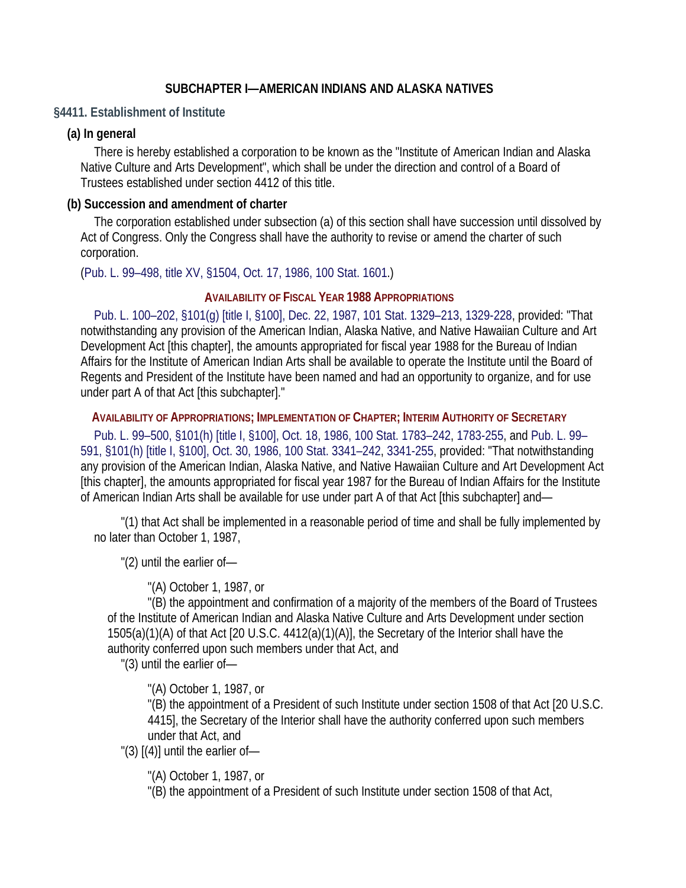## **SUBCHAPTER I—AMERICAN INDIANS AND ALASKA NATIVES**

### **§4411. Establishment of Institute**

## **(a) In general**

There is hereby established a corporation to be known as the "Institute of American Indian and Alaska Native Culture and Arts Development", which shall be under the direction and control of a Board of Trustees established under section 4412 of this title.

### **(b) Succession and amendment of charter**

The corporation established under subsection (a) of this section shall have succession until dissolved by Act of Congress. Only the Congress shall have the authority to revise or amend the charter of such corporation.

(Pub. L. 99–498, title XV, §1504, Oct. 17, 1986, 100 Stat. 1601.)

### **AVAILABILITY OF FISCAL YEAR 1988 APPROPRIATIONS**

Pub. L. 100–202, §101(g) [title I, §100], Dec. 22, 1987, 101 Stat. 1329–213, 1329-228, provided: "That notwithstanding any provision of the American Indian, Alaska Native, and Native Hawaiian Culture and Art Development Act [this chapter], the amounts appropriated for fiscal year 1988 for the Bureau of Indian Affairs for the Institute of American Indian Arts shall be available to operate the Institute until the Board of Regents and President of the Institute have been named and had an opportunity to organize, and for use under part A of that Act [this subchapter]."

**AVAILABILITY OF APPROPRIATIONS; IMPLEMENTATION OF CHAPTER; INTERIM AUTHORITY OF SECRETARY**

Pub. L. 99–500, §101(h) [title I, §100], Oct. 18, 1986, 100 Stat. 1783–242, 1783-255, and Pub. L. 99– 591, §101(h) [title I, §100], Oct. 30, 1986, 100 Stat. 3341–242, 3341-255, provided: "That notwithstanding any provision of the American Indian, Alaska Native, and Native Hawaiian Culture and Art Development Act [this chapter], the amounts appropriated for fiscal year 1987 for the Bureau of Indian Affairs for the Institute of American Indian Arts shall be available for use under part A of that Act [this subchapter] and—

"(1) that Act shall be implemented in a reasonable period of time and shall be fully implemented by no later than October 1, 1987,

"(2) until the earlier of—

"(A) October 1, 1987, or

"(B) the appointment and confirmation of a majority of the members of the Board of Trustees of the Institute of American Indian and Alaska Native Culture and Arts Development under section 1505(a)(1)(A) of that Act [20 U.S.C. 4412(a)(1)(A)], the Secretary of the Interior shall have the authority conferred upon such members under that Act, and

"(3) until the earlier of—

"(A) October 1, 1987, or

"(B) the appointment of a President of such Institute under section 1508 of that Act [20 U.S.C. 4415], the Secretary of the Interior shall have the authority conferred upon such members under that Act, and

"(3)  $[(4)]$  until the earlier of-

"(A) October 1, 1987, or

"(B) the appointment of a President of such Institute under section 1508 of that Act,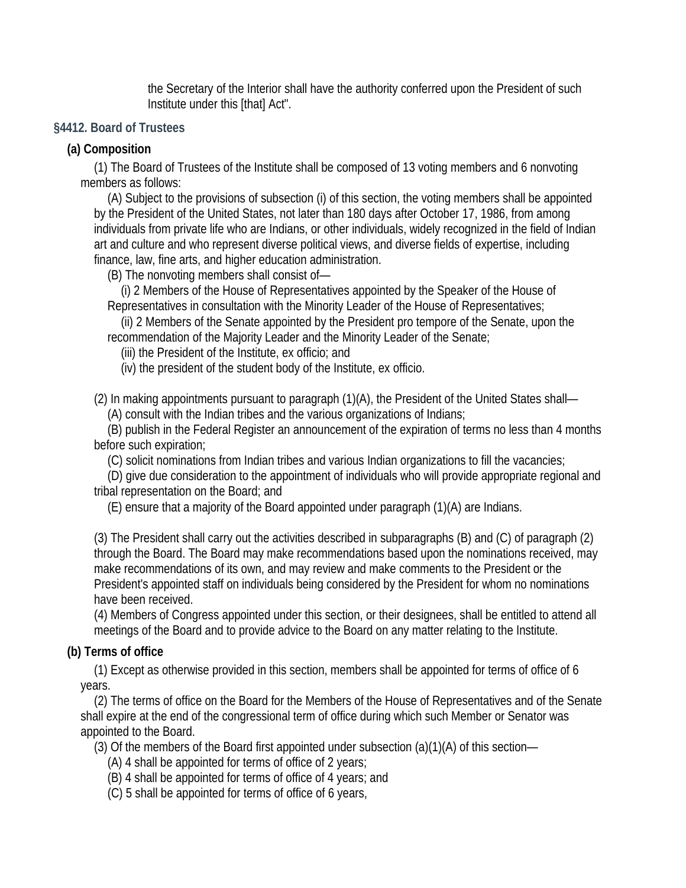the Secretary of the Interior shall have the authority conferred upon the President of such Institute under this [that] Act".

# **§4412. Board of Trustees**

# **(a) Composition**

(1) The Board of Trustees of the Institute shall be composed of 13 voting members and 6 nonvoting members as follows:

(A) Subject to the provisions of subsection (i) of this section, the voting members shall be appointed by the President of the United States, not later than 180 days after October 17, 1986, from among individuals from private life who are Indians, or other individuals, widely recognized in the field of Indian art and culture and who represent diverse political views, and diverse fields of expertise, including finance, law, fine arts, and higher education administration.

(B) The nonvoting members shall consist of—

(i) 2 Members of the House of Representatives appointed by the Speaker of the House of Representatives in consultation with the Minority Leader of the House of Representatives;

(ii) 2 Members of the Senate appointed by the President pro tempore of the Senate, upon the recommendation of the Majority Leader and the Minority Leader of the Senate;

(iii) the President of the Institute, ex officio; and

(iv) the president of the student body of the Institute, ex officio.

(2) In making appointments pursuant to paragraph (1)(A), the President of the United States shall—

(A) consult with the Indian tribes and the various organizations of Indians;

(B) publish in the Federal Register an announcement of the expiration of terms no less than 4 months before such expiration;

(C) solicit nominations from Indian tribes and various Indian organizations to fill the vacancies;

(D) give due consideration to the appointment of individuals who will provide appropriate regional and tribal representation on the Board; and

(E) ensure that a majority of the Board appointed under paragraph (1)(A) are Indians.

(3) The President shall carry out the activities described in subparagraphs (B) and (C) of paragraph (2) through the Board. The Board may make recommendations based upon the nominations received, may make recommendations of its own, and may review and make comments to the President or the President's appointed staff on individuals being considered by the President for whom no nominations have been received.

(4) Members of Congress appointed under this section, or their designees, shall be entitled to attend all meetings of the Board and to provide advice to the Board on any matter relating to the Institute.

# **(b) Terms of office**

(1) Except as otherwise provided in this section, members shall be appointed for terms of office of 6 years.

(2) The terms of office on the Board for the Members of the House of Representatives and of the Senate shall expire at the end of the congressional term of office during which such Member or Senator was appointed to the Board.

(3) Of the members of the Board first appointed under subsection (a)(1)(A) of this section—

- (A) 4 shall be appointed for terms of office of 2 years;
- (B) 4 shall be appointed for terms of office of 4 years; and
- (C) 5 shall be appointed for terms of office of 6 years,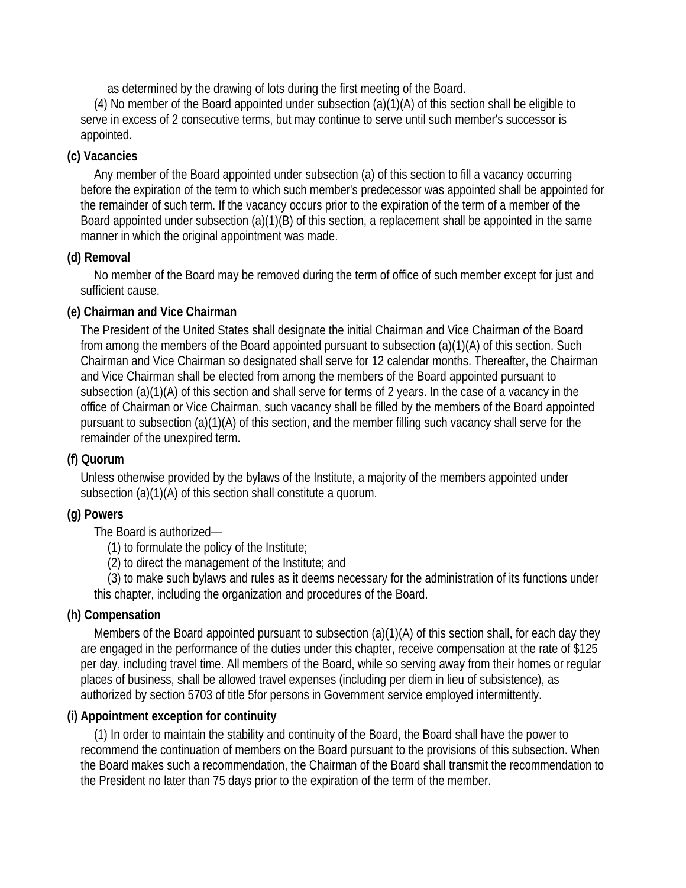as determined by the drawing of lots during the first meeting of the Board.

(4) No member of the Board appointed under subsection (a)(1)(A) of this section shall be eligible to serve in excess of 2 consecutive terms, but may continue to serve until such member's successor is appointed.

# **(c) Vacancies**

Any member of the Board appointed under subsection (a) of this section to fill a vacancy occurring before the expiration of the term to which such member's predecessor was appointed shall be appointed for the remainder of such term. If the vacancy occurs prior to the expiration of the term of a member of the Board appointed under subsection (a)(1)(B) of this section, a replacement shall be appointed in the same manner in which the original appointment was made.

# **(d) Removal**

No member of the Board may be removed during the term of office of such member except for just and sufficient cause.

# **(e) Chairman and Vice Chairman**

The President of the United States shall designate the initial Chairman and Vice Chairman of the Board from among the members of the Board appointed pursuant to subsection (a)(1)(A) of this section. Such Chairman and Vice Chairman so designated shall serve for 12 calendar months. Thereafter, the Chairman and Vice Chairman shall be elected from among the members of the Board appointed pursuant to subsection (a)(1)(A) of this section and shall serve for terms of 2 years. In the case of a vacancy in the office of Chairman or Vice Chairman, such vacancy shall be filled by the members of the Board appointed pursuant to subsection (a)(1)(A) of this section, and the member filling such vacancy shall serve for the remainder of the unexpired term.

# **(f) Quorum**

Unless otherwise provided by the bylaws of the Institute, a majority of the members appointed under subsection (a)(1)(A) of this section shall constitute a quorum.

# **(g) Powers**

The Board is authorized—

(1) to formulate the policy of the Institute;

(2) to direct the management of the Institute; and

(3) to make such bylaws and rules as it deems necessary for the administration of its functions under this chapter, including the organization and procedures of the Board.

# **(h) Compensation**

Members of the Board appointed pursuant to subsection (a)(1)(A) of this section shall, for each day they are engaged in the performance of the duties under this chapter, receive compensation at the rate of \$125 per day, including travel time. All members of the Board, while so serving away from their homes or regular places of business, shall be allowed travel expenses (including per diem in lieu of subsistence), as authorized by section 5703 of title 5for persons in Government service employed intermittently.

# **(i) Appointment exception for continuity**

(1) In order to maintain the stability and continuity of the Board, the Board shall have the power to recommend the continuation of members on the Board pursuant to the provisions of this subsection. When the Board makes such a recommendation, the Chairman of the Board shall transmit the recommendation to the President no later than 75 days prior to the expiration of the term of the member.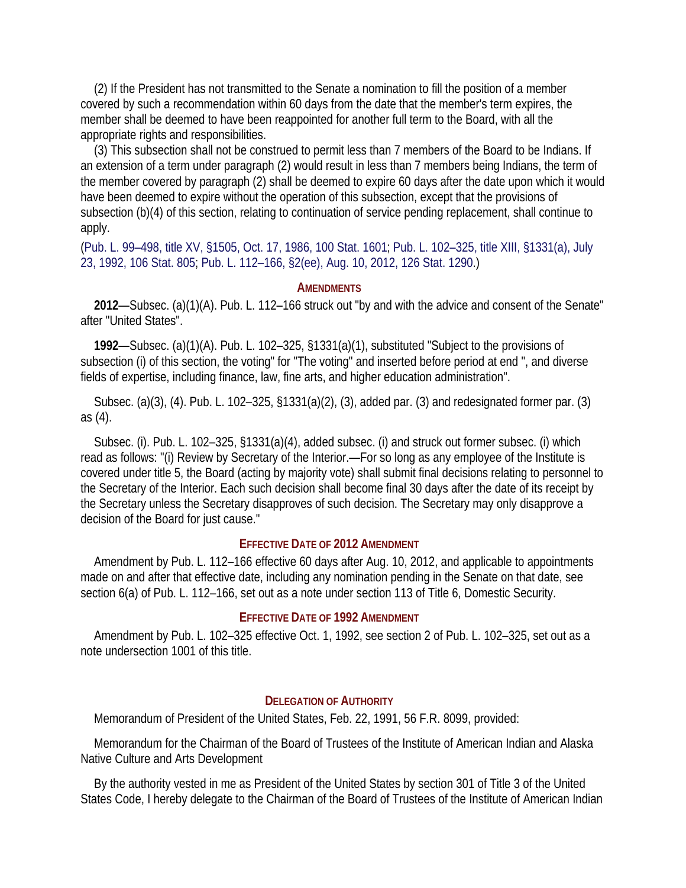(2) If the President has not transmitted to the Senate a nomination to fill the position of a member covered by such a recommendation within 60 days from the date that the member's term expires, the member shall be deemed to have been reappointed for another full term to the Board, with all the appropriate rights and responsibilities.

(3) This subsection shall not be construed to permit less than 7 members of the Board to be Indians. If an extension of a term under paragraph (2) would result in less than 7 members being Indians, the term of the member covered by paragraph (2) shall be deemed to expire 60 days after the date upon which it would have been deemed to expire without the operation of this subsection, except that the provisions of subsection (b)(4) of this section, relating to continuation of service pending replacement, shall continue to apply.

(Pub. L. 99–498, title XV, §1505, Oct. 17, 1986, 100 Stat. 1601; Pub. L. 102–325, title XIII, §1331(a), July 23, 1992, 106 Stat. 805; Pub. L. 112–166, §2(ee), Aug. 10, 2012, 126 Stat. 1290.)

#### **AMENDMENTS**

**2012**—Subsec. (a)(1)(A). Pub. L. 112–166 struck out "by and with the advice and consent of the Senate" after "United States".

**1992**—Subsec. (a)(1)(A). Pub. L. 102–325, §1331(a)(1), substituted "Subject to the provisions of subsection (i) of this section, the voting" for "The voting" and inserted before period at end ", and diverse fields of expertise, including finance, law, fine arts, and higher education administration".

Subsec. (a)(3), (4). Pub. L. 102–325, §1331(a)(2), (3), added par. (3) and redesignated former par. (3) as (4).

Subsec. (i). Pub. L. 102–325, §1331(a)(4), added subsec. (i) and struck out former subsec. (i) which read as follows: "(i) Review by Secretary of the Interior.—For so long as any employee of the Institute is covered under title 5, the Board (acting by majority vote) shall submit final decisions relating to personnel to the Secretary of the Interior. Each such decision shall become final 30 days after the date of its receipt by the Secretary unless the Secretary disapproves of such decision. The Secretary may only disapprove a decision of the Board for just cause."

### **EFFECTIVE DATE OF 2012 AMENDMENT**

Amendment by Pub. L. 112–166 effective 60 days after Aug. 10, 2012, and applicable to appointments made on and after that effective date, including any nomination pending in the Senate on that date, see section 6(a) of Pub. L. 112–166, set out as a note under section 113 of Title 6, Domestic Security.

#### **EFFECTIVE DATE OF 1992 AMENDMENT**

Amendment by Pub. L. 102–325 effective Oct. 1, 1992, see section 2 of Pub. L. 102–325, set out as a note undersection 1001 of this title.

#### **DELEGATION OF AUTHORITY**

Memorandum of President of the United States, Feb. 22, 1991, 56 F.R. 8099, provided:

Memorandum for the Chairman of the Board of Trustees of the Institute of American Indian and Alaska Native Culture and Arts Development

By the authority vested in me as President of the United States by section 301 of Title 3 of the United States Code, I hereby delegate to the Chairman of the Board of Trustees of the Institute of American Indian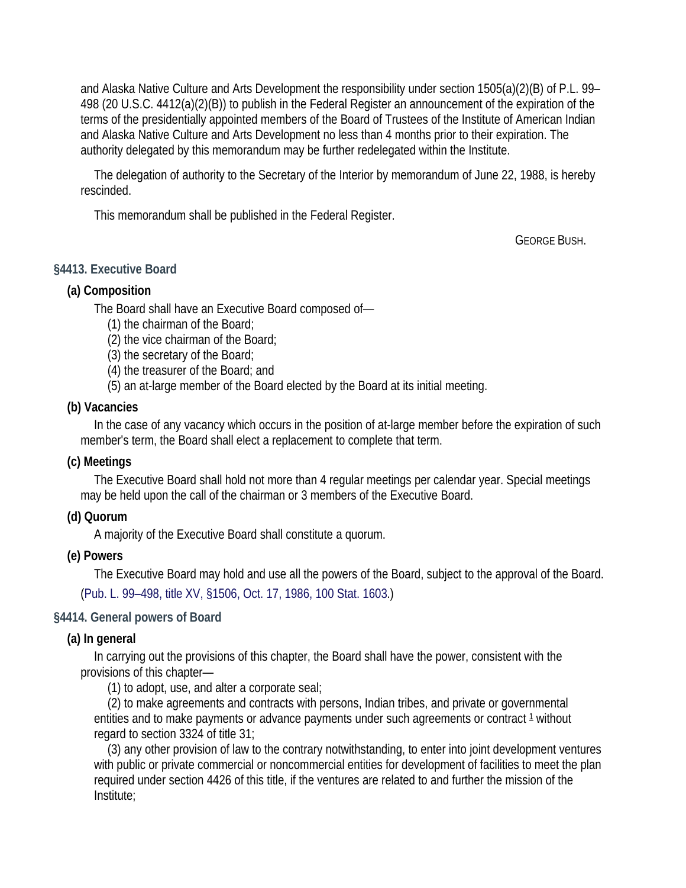and Alaska Native Culture and Arts Development the responsibility under section 1505(a)(2)(B) of P.L. 99– 498 (20 U.S.C. 4412(a)(2)(B)) to publish in the Federal Register an announcement of the expiration of the terms of the presidentially appointed members of the Board of Trustees of the Institute of American Indian and Alaska Native Culture and Arts Development no less than 4 months prior to their expiration. The authority delegated by this memorandum may be further redelegated within the Institute.

The delegation of authority to the Secretary of the Interior by memorandum of June 22, 1988, is hereby rescinded.

This memorandum shall be published in the Federal Register.

GEORGE BUSH.

## **§4413. Executive Board**

## **(a) Composition**

The Board shall have an Executive Board composed of—

- (1) the chairman of the Board;
- (2) the vice chairman of the Board;
- (3) the secretary of the Board;
- (4) the treasurer of the Board; and
- (5) an at-large member of the Board elected by the Board at its initial meeting.

### **(b) Vacancies**

In the case of any vacancy which occurs in the position of at-large member before the expiration of such member's term, the Board shall elect a replacement to complete that term.

### **(c) Meetings**

The Executive Board shall hold not more than 4 regular meetings per calendar year. Special meetings may be held upon the call of the chairman or 3 members of the Executive Board.

### **(d) Quorum**

A majority of the Executive Board shall constitute a quorum.

### **(e) Powers**

The Executive Board may hold and use all the powers of the Board, subject to the approval of the Board. (Pub. L. 99–498, title XV, §1506, Oct. 17, 1986, 100 Stat. 1603.)

### **§4414. General powers of Board**

### **(a) In general**

In carrying out the provisions of this chapter, the Board shall have the power, consistent with the provisions of this chapter—

(1) to adopt, use, and alter a corporate seal;

(2) to make agreements and contracts with persons, Indian tribes, and private or governmental entities and to make payments or advance payments under such agreements or contract  $1$  without regard to section 3324 of title 31;

(3) any other provision of law to the contrary notwithstanding, to enter into joint development ventures with public or private commercial or noncommercial entities for development of facilities to meet the plan required under section 4426 of this title, if the ventures are related to and further the mission of the Institute;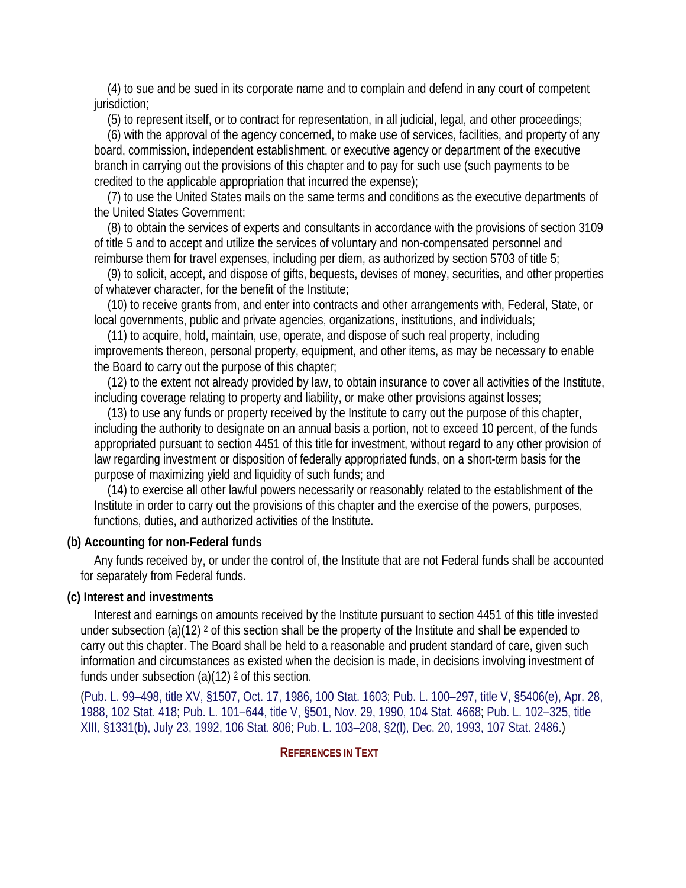(4) to sue and be sued in its corporate name and to complain and defend in any court of competent jurisdiction;

(5) to represent itself, or to contract for representation, in all judicial, legal, and other proceedings;

(6) with the approval of the agency concerned, to make use of services, facilities, and property of any board, commission, independent establishment, or executive agency or department of the executive branch in carrying out the provisions of this chapter and to pay for such use (such payments to be credited to the applicable appropriation that incurred the expense);

(7) to use the United States mails on the same terms and conditions as the executive departments of the United States Government;

(8) to obtain the services of experts and consultants in accordance with the provisions of section 3109 of title 5 and to accept and utilize the services of voluntary and non-compensated personnel and reimburse them for travel expenses, including per diem, as authorized by section 5703 of title 5;

(9) to solicit, accept, and dispose of gifts, bequests, devises of money, securities, and other properties of whatever character, for the benefit of the Institute;

(10) to receive grants from, and enter into contracts and other arrangements with, Federal, State, or local governments, public and private agencies, organizations, institutions, and individuals;

(11) to acquire, hold, maintain, use, operate, and dispose of such real property, including improvements thereon, personal property, equipment, and other items, as may be necessary to enable the Board to carry out the purpose of this chapter;

(12) to the extent not already provided by law, to obtain insurance to cover all activities of the Institute, including coverage relating to property and liability, or make other provisions against losses;

(13) to use any funds or property received by the Institute to carry out the purpose of this chapter, including the authority to designate on an annual basis a portion, not to exceed 10 percent, of the funds appropriated pursuant to section 4451 of this title for investment, without regard to any other provision of law regarding investment or disposition of federally appropriated funds, on a short-term basis for the purpose of maximizing yield and liquidity of such funds; and

(14) to exercise all other lawful powers necessarily or reasonably related to the establishment of the Institute in order to carry out the provisions of this chapter and the exercise of the powers, purposes, functions, duties, and authorized activities of the Institute.

# **(b) Accounting for non-Federal funds**

Any funds received by, or under the control of, the Institute that are not Federal funds shall be accounted for separately from Federal funds.

# **(c) Interest and investments**

Interest and earnings on amounts received by the Institute pursuant to section 4451 of this title invested under subsection (a)(12)  $2$  of this section shall be the property of the Institute and shall be expended to carry out this chapter. The Board shall be held to a reasonable and prudent standard of care, given such information and circumstances as existed when the decision is made, in decisions involving investment of funds under subsection  $(a)(12)$   $\geq$  of this section.

(Pub. L. 99–498, title XV, §1507, Oct. 17, 1986, 100 Stat. 1603; Pub. L. 100–297, title V, §5406(e), Apr. 28, 1988, 102 Stat. 418; Pub. L. 101–644, title V, §501, Nov. 29, 1990, 104 Stat. 4668; Pub. L. 102–325, title XIII, §1331(b), July 23, 1992, 106 Stat. 806; Pub. L. 103–208, §2(l), Dec. 20, 1993, 107 Stat. 2486.)

# **REFERENCES IN TEXT**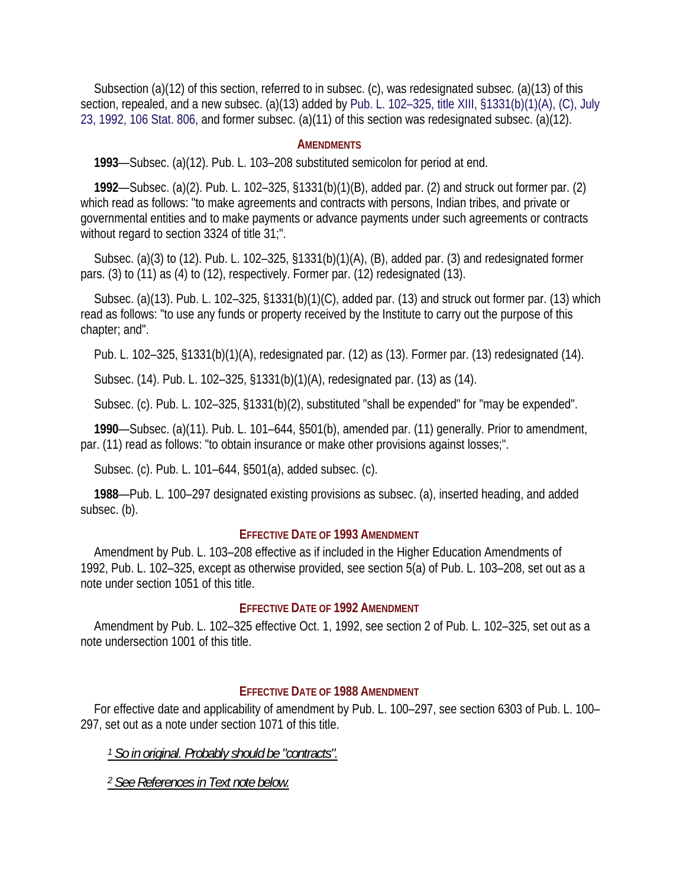Subsection (a)(12) of this section, referred to in subsec. (c), was redesignated subsec. (a)(13) of this section, repealed, and a new subsec. (a)(13) added by Pub. L. 102–325, title XIII, §1331(b)(1)(A), (C), July 23, 1992, 106 Stat. 806, and former subsec. (a)(11) of this section was redesignated subsec. (a)(12).

#### **AMENDMENTS**

**1993**—Subsec. (a)(12). Pub. L. 103–208 substituted semicolon for period at end.

**1992**—Subsec. (a)(2). Pub. L. 102–325, §1331(b)(1)(B), added par. (2) and struck out former par. (2) which read as follows: "to make agreements and contracts with persons, Indian tribes, and private or governmental entities and to make payments or advance payments under such agreements or contracts without regard to section 3324 of title 31;".

Subsec. (a)(3) to (12). Pub. L. 102–325, §1331(b)(1)(A), (B), added par. (3) and redesignated former pars. (3) to (11) as (4) to (12), respectively. Former par. (12) redesignated (13).

Subsec. (a)(13). Pub. L. 102–325, §1331(b)(1)(C), added par. (13) and struck out former par. (13) which read as follows: "to use any funds or property received by the Institute to carry out the purpose of this chapter; and".

Pub. L. 102–325, §1331(b)(1)(A), redesignated par. (12) as (13). Former par. (13) redesignated (14).

Subsec. (14). Pub. L. 102–325, §1331(b)(1)(A), redesignated par. (13) as (14).

Subsec. (c). Pub. L. 102–325, §1331(b)(2), substituted "shall be expended" for "may be expended".

**1990**—Subsec. (a)(11). Pub. L. 101–644, §501(b), amended par. (11) generally. Prior to amendment, par. (11) read as follows: "to obtain insurance or make other provisions against losses;".

Subsec. (c). Pub. L. 101–644, §501(a), added subsec. (c).

**1988**—Pub. L. 100–297 designated existing provisions as subsec. (a), inserted heading, and added subsec. (b).

### **EFFECTIVE DATE OF 1993 AMENDMENT**

Amendment by Pub. L. 103–208 effective as if included in the Higher Education Amendments of 1992, Pub. L. 102–325, except as otherwise provided, see section 5(a) of Pub. L. 103–208, set out as a note under section 1051 of this title.

### **EFFECTIVE DATE OF 1992 AMENDMENT**

Amendment by Pub. L. 102–325 effective Oct. 1, 1992, see section 2 of Pub. L. 102–325, set out as a note undersection 1001 of this title.

# **EFFECTIVE DATE OF 1988 AMENDMENT**

For effective date and applicability of amendment by Pub. L. 100–297, see section 6303 of Pub. L. 100– 297, set out as a note under section 1071 of this title.

*1 So in original. Probably should be "contracts".* 

*2 See References in Text note below.*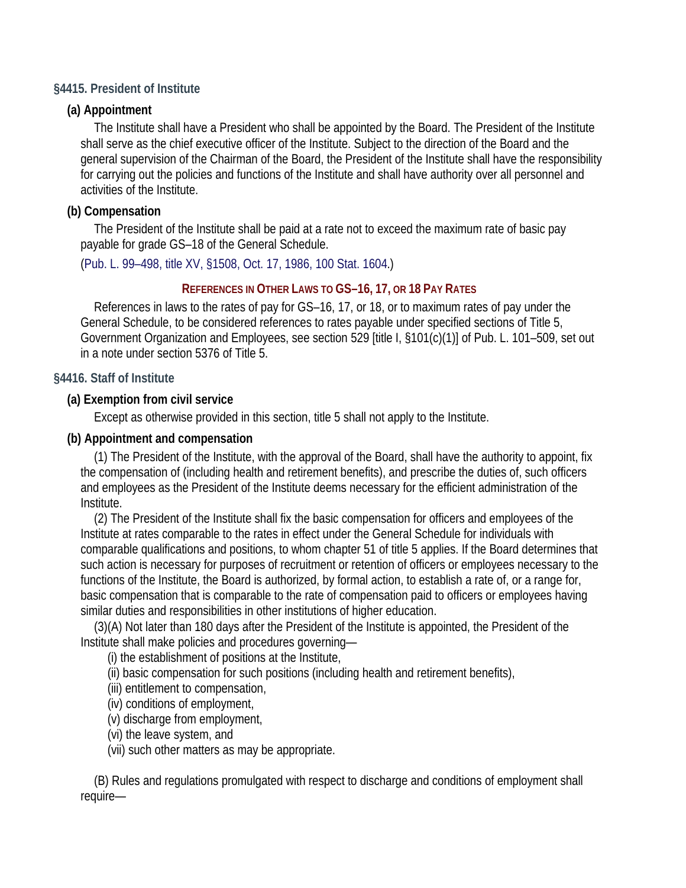## **§4415. President of Institute**

## **(a) Appointment**

The Institute shall have a President who shall be appointed by the Board. The President of the Institute shall serve as the chief executive officer of the Institute. Subject to the direction of the Board and the general supervision of the Chairman of the Board, the President of the Institute shall have the responsibility for carrying out the policies and functions of the Institute and shall have authority over all personnel and activities of the Institute.

## **(b) Compensation**

The President of the Institute shall be paid at a rate not to exceed the maximum rate of basic pay payable for grade GS–18 of the General Schedule.

(Pub. L. 99–498, title XV, §1508, Oct. 17, 1986, 100 Stat. 1604.)

## **REFERENCES IN OTHER LAWS TO GS–16, 17, OR 18 PAY RATES**

References in laws to the rates of pay for GS–16, 17, or 18, or to maximum rates of pay under the General Schedule, to be considered references to rates payable under specified sections of Title 5, Government Organization and Employees, see section 529 [title I, §101(c)(1)] of Pub. L. 101–509, set out in a note under section 5376 of Title 5.

### **§4416. Staff of Institute**

### **(a) Exemption from civil service**

Except as otherwise provided in this section, title 5 shall not apply to the Institute.

### **(b) Appointment and compensation**

(1) The President of the Institute, with the approval of the Board, shall have the authority to appoint, fix the compensation of (including health and retirement benefits), and prescribe the duties of, such officers and employees as the President of the Institute deems necessary for the efficient administration of the Institute.

(2) The President of the Institute shall fix the basic compensation for officers and employees of the Institute at rates comparable to the rates in effect under the General Schedule for individuals with comparable qualifications and positions, to whom chapter 51 of title 5 applies. If the Board determines that such action is necessary for purposes of recruitment or retention of officers or employees necessary to the functions of the Institute, the Board is authorized, by formal action, to establish a rate of, or a range for, basic compensation that is comparable to the rate of compensation paid to officers or employees having similar duties and responsibilities in other institutions of higher education.

(3)(A) Not later than 180 days after the President of the Institute is appointed, the President of the Institute shall make policies and procedures governing—

(i) the establishment of positions at the Institute,

(ii) basic compensation for such positions (including health and retirement benefits),

(iii) entitlement to compensation,

(iv) conditions of employment,

(v) discharge from employment,

(vi) the leave system, and

(vii) such other matters as may be appropriate.

(B) Rules and regulations promulgated with respect to discharge and conditions of employment shall require—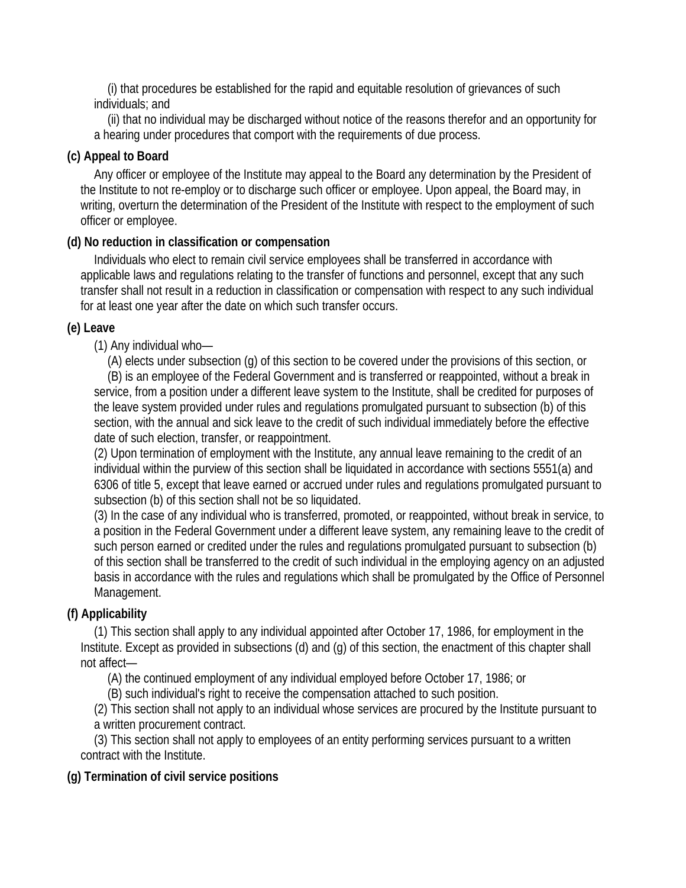(i) that procedures be established for the rapid and equitable resolution of grievances of such individuals; and

(ii) that no individual may be discharged without notice of the reasons therefor and an opportunity for a hearing under procedures that comport with the requirements of due process.

# **(c) Appeal to Board**

Any officer or employee of the Institute may appeal to the Board any determination by the President of the Institute to not re-employ or to discharge such officer or employee. Upon appeal, the Board may, in writing, overturn the determination of the President of the Institute with respect to the employment of such officer or employee.

# **(d) No reduction in classification or compensation**

Individuals who elect to remain civil service employees shall be transferred in accordance with applicable laws and regulations relating to the transfer of functions and personnel, except that any such transfer shall not result in a reduction in classification or compensation with respect to any such individual for at least one year after the date on which such transfer occurs.

# **(e) Leave**

(1) Any individual who—

(A) elects under subsection (g) of this section to be covered under the provisions of this section, or (B) is an employee of the Federal Government and is transferred or reappointed, without a break in service, from a position under a different leave system to the Institute, shall be credited for purposes of the leave system provided under rules and regulations promulgated pursuant to subsection (b) of this section, with the annual and sick leave to the credit of such individual immediately before the effective date of such election, transfer, or reappointment.

(2) Upon termination of employment with the Institute, any annual leave remaining to the credit of an individual within the purview of this section shall be liquidated in accordance with sections 5551(a) and 6306 of title 5, except that leave earned or accrued under rules and regulations promulgated pursuant to subsection (b) of this section shall not be so liquidated.

(3) In the case of any individual who is transferred, promoted, or reappointed, without break in service, to a position in the Federal Government under a different leave system, any remaining leave to the credit of such person earned or credited under the rules and regulations promulgated pursuant to subsection (b) of this section shall be transferred to the credit of such individual in the employing agency on an adjusted basis in accordance with the rules and regulations which shall be promulgated by the Office of Personnel Management.

# **(f) Applicability**

(1) This section shall apply to any individual appointed after October 17, 1986, for employment in the Institute. Except as provided in subsections (d) and (g) of this section, the enactment of this chapter shall not affect—

(A) the continued employment of any individual employed before October 17, 1986; or

(B) such individual's right to receive the compensation attached to such position.

(2) This section shall not apply to an individual whose services are procured by the Institute pursuant to a written procurement contract.

(3) This section shall not apply to employees of an entity performing services pursuant to a written contract with the Institute.

# **(g) Termination of civil service positions**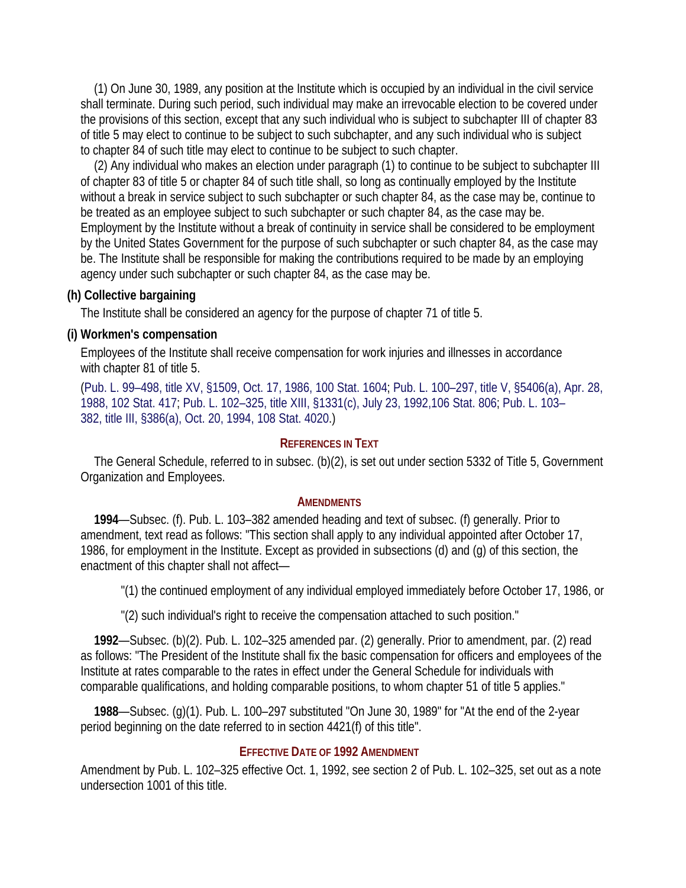(1) On June 30, 1989, any position at the Institute which is occupied by an individual in the civil service shall terminate. During such period, such individual may make an irrevocable election to be covered under the provisions of this section, except that any such individual who is subject to subchapter III of chapter 83 of title 5 may elect to continue to be subject to such subchapter, and any such individual who is subject to chapter 84 of such title may elect to continue to be subject to such chapter.

(2) Any individual who makes an election under paragraph (1) to continue to be subject to subchapter III of chapter 83 of title 5 or chapter 84 of such title shall, so long as continually employed by the Institute without a break in service subject to such subchapter or such chapter 84, as the case may be, continue to be treated as an employee subject to such subchapter or such chapter 84, as the case may be. Employment by the Institute without a break of continuity in service shall be considered to be employment by the United States Government for the purpose of such subchapter or such chapter 84, as the case may be. The Institute shall be responsible for making the contributions required to be made by an employing agency under such subchapter or such chapter 84, as the case may be.

### **(h) Collective bargaining**

The Institute shall be considered an agency for the purpose of chapter 71 of title 5.

#### **(i) Workmen's compensation**

Employees of the Institute shall receive compensation for work injuries and illnesses in accordance with chapter 81 of title 5.

(Pub. L. 99–498, title XV, §1509, Oct. 17, 1986, 100 Stat. 1604; Pub. L. 100–297, title V, §5406(a), Apr. 28, 1988, 102 Stat. 417; Pub. L. 102–325, title XIII, §1331(c), July 23, 1992,106 Stat. 806; Pub. L. 103– 382, title III, §386(a), Oct. 20, 1994, 108 Stat. 4020.)

#### **REFERENCES IN TEXT**

The General Schedule, referred to in subsec. (b)(2), is set out under section 5332 of Title 5, Government Organization and Employees.

#### **AMENDMENTS**

**1994**—Subsec. (f). Pub. L. 103–382 amended heading and text of subsec. (f) generally. Prior to amendment, text read as follows: "This section shall apply to any individual appointed after October 17, 1986, for employment in the Institute. Except as provided in subsections (d) and (g) of this section, the enactment of this chapter shall not affect—

"(1) the continued employment of any individual employed immediately before October 17, 1986, or

"(2) such individual's right to receive the compensation attached to such position."

**1992**—Subsec. (b)(2). Pub. L. 102–325 amended par. (2) generally. Prior to amendment, par. (2) read as follows: "The President of the Institute shall fix the basic compensation for officers and employees of the Institute at rates comparable to the rates in effect under the General Schedule for individuals with comparable qualifications, and holding comparable positions, to whom chapter 51 of title 5 applies."

**1988**—Subsec. (g)(1). Pub. L. 100–297 substituted "On June 30, 1989" for "At the end of the 2-year period beginning on the date referred to in section 4421(f) of this title".

# **EFFECTIVE DATE OF 1992 AMENDMENT**

Amendment by Pub. L. 102–325 effective Oct. 1, 1992, see section 2 of Pub. L. 102–325, set out as a note undersection 1001 of this title.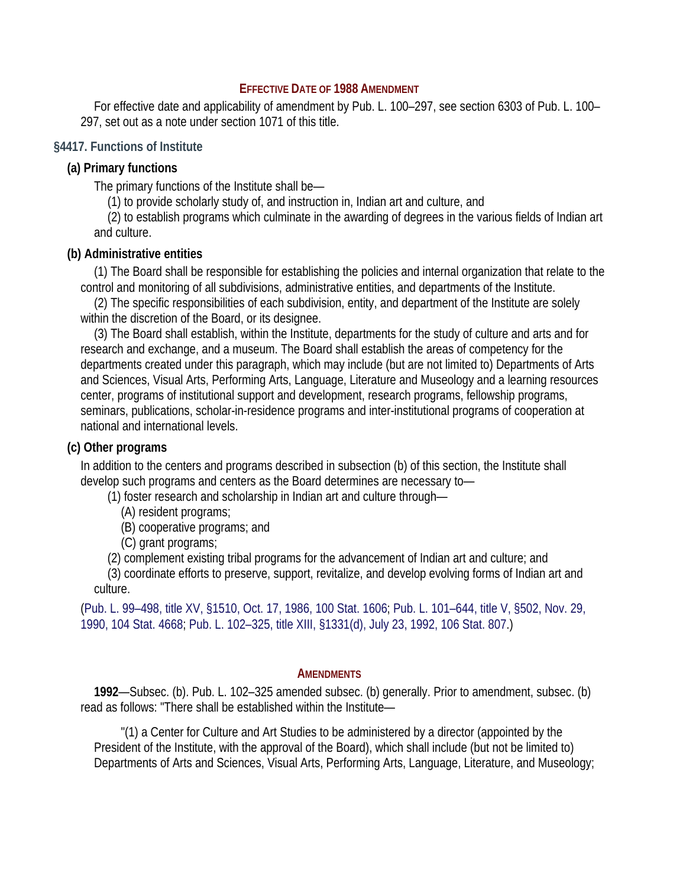#### **EFFECTIVE DATE OF 1988 AMENDMENT**

For effective date and applicability of amendment by Pub. L. 100–297, see section 6303 of Pub. L. 100– 297, set out as a note under section 1071 of this title.

### **§4417. Functions of Institute**

### **(a) Primary functions**

The primary functions of the Institute shall be—

(1) to provide scholarly study of, and instruction in, Indian art and culture, and

(2) to establish programs which culminate in the awarding of degrees in the various fields of Indian art and culture.

### **(b) Administrative entities**

(1) The Board shall be responsible for establishing the policies and internal organization that relate to the control and monitoring of all subdivisions, administrative entities, and departments of the Institute.

(2) The specific responsibilities of each subdivision, entity, and department of the Institute are solely within the discretion of the Board, or its designee.

(3) The Board shall establish, within the Institute, departments for the study of culture and arts and for research and exchange, and a museum. The Board shall establish the areas of competency for the departments created under this paragraph, which may include (but are not limited to) Departments of Arts and Sciences, Visual Arts, Performing Arts, Language, Literature and Museology and a learning resources center, programs of institutional support and development, research programs, fellowship programs, seminars, publications, scholar-in-residence programs and inter-institutional programs of cooperation at national and international levels.

# **(c) Other programs**

In addition to the centers and programs described in subsection (b) of this section, the Institute shall develop such programs and centers as the Board determines are necessary to—

(1) foster research and scholarship in Indian art and culture through—

- (A) resident programs;
- (B) cooperative programs; and
- (C) grant programs;
- (2) complement existing tribal programs for the advancement of Indian art and culture; and

(3) coordinate efforts to preserve, support, revitalize, and develop evolving forms of Indian art and culture.

(Pub. L. 99–498, title XV, §1510, Oct. 17, 1986, 100 Stat. 1606; Pub. L. 101–644, title V, §502, Nov. 29, 1990, 104 Stat. 4668; Pub. L. 102–325, title XIII, §1331(d), July 23, 1992, 106 Stat. 807.)

### **AMENDMENTS**

**1992**—Subsec. (b). Pub. L. 102–325 amended subsec. (b) generally. Prior to amendment, subsec. (b) read as follows: "There shall be established within the Institute—

"(1) a Center for Culture and Art Studies to be administered by a director (appointed by the President of the Institute, with the approval of the Board), which shall include (but not be limited to) Departments of Arts and Sciences, Visual Arts, Performing Arts, Language, Literature, and Museology;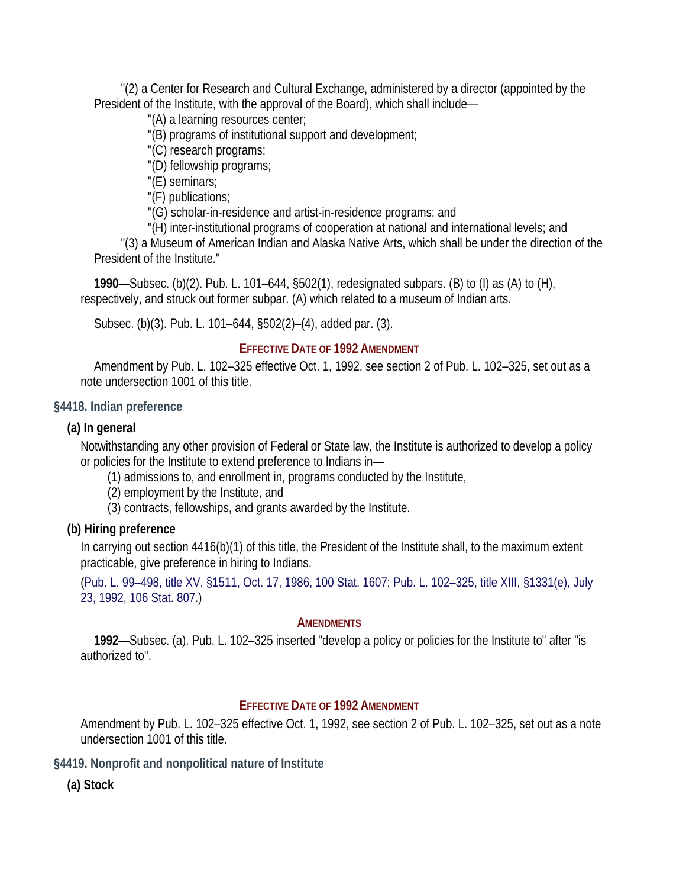"(2) a Center for Research and Cultural Exchange, administered by a director (appointed by the President of the Institute, with the approval of the Board), which shall include—

"(A) a learning resources center;

"(B) programs of institutional support and development;

"(C) research programs;

"(D) fellowship programs;

"(E) seminars;

"(F) publications;

"(G) scholar-in-residence and artist-in-residence programs; and

"(H) inter-institutional programs of cooperation at national and international levels; and

"(3) a Museum of American Indian and Alaska Native Arts, which shall be under the direction of the President of the Institute."

**1990**—Subsec. (b)(2). Pub. L. 101–644, §502(1), redesignated subpars. (B) to (I) as (A) to (H), respectively, and struck out former subpar. (A) which related to a museum of Indian arts.

Subsec. (b)(3). Pub. L. 101–644, §502(2)–(4), added par. (3).

## **EFFECTIVE DATE OF 1992 AMENDMENT**

Amendment by Pub. L. 102–325 effective Oct. 1, 1992, see section 2 of Pub. L. 102–325, set out as a note undersection 1001 of this title.

## **§4418. Indian preference**

# **(a) In general**

Notwithstanding any other provision of Federal or State law, the Institute is authorized to develop a policy or policies for the Institute to extend preference to Indians in—

(1) admissions to, and enrollment in, programs conducted by the Institute,

(2) employment by the Institute, and

(3) contracts, fellowships, and grants awarded by the Institute.

# **(b) Hiring preference**

In carrying out section 4416(b)(1) of this title, the President of the Institute shall, to the maximum extent practicable, give preference in hiring to Indians.

(Pub. L. 99–498, title XV, §1511, Oct. 17, 1986, 100 Stat. 1607; Pub. L. 102–325, title XIII, §1331(e), July 23, 1992, 106 Stat. 807.)

### **AMENDMENTS**

**1992**—Subsec. (a). Pub. L. 102–325 inserted "develop a policy or policies for the Institute to" after "is authorized to".

# **EFFECTIVE DATE OF 1992 AMENDMENT**

Amendment by Pub. L. 102–325 effective Oct. 1, 1992, see section 2 of Pub. L. 102–325, set out as a note undersection 1001 of this title.

**§4419. Nonprofit and nonpolitical nature of Institute** 

**(a) Stock**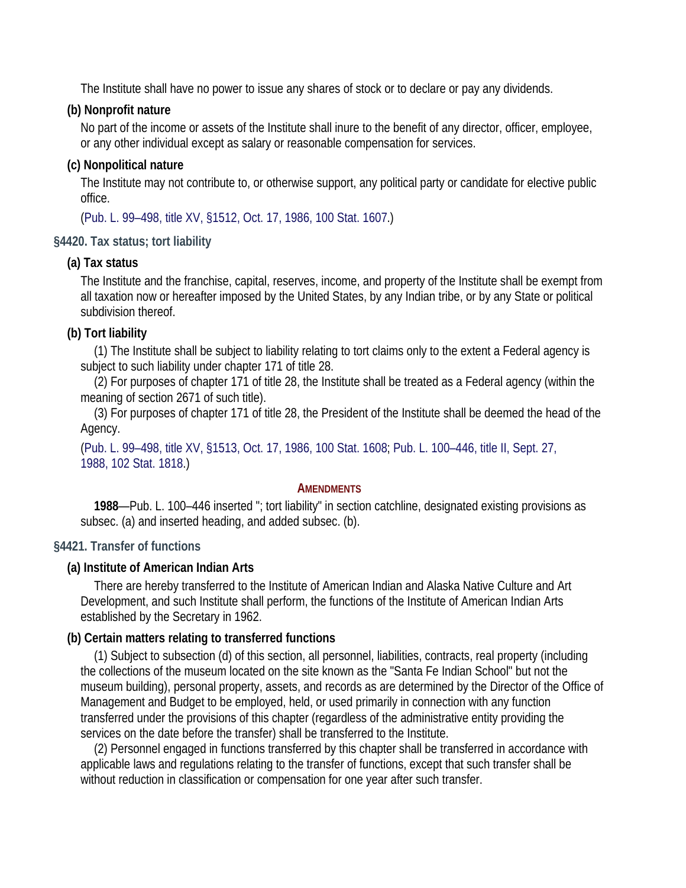The Institute shall have no power to issue any shares of stock or to declare or pay any dividends.

# **(b) Nonprofit nature**

No part of the income or assets of the Institute shall inure to the benefit of any director, officer, employee, or any other individual except as salary or reasonable compensation for services.

# **(c) Nonpolitical nature**

The Institute may not contribute to, or otherwise support, any political party or candidate for elective public office.

(Pub. L. 99–498, title XV, §1512, Oct. 17, 1986, 100 Stat. 1607.)

# **§4420. Tax status; tort liability**

## **(a) Tax status**

The Institute and the franchise, capital, reserves, income, and property of the Institute shall be exempt from all taxation now or hereafter imposed by the United States, by any Indian tribe, or by any State or political subdivision thereof.

# **(b) Tort liability**

(1) The Institute shall be subject to liability relating to tort claims only to the extent a Federal agency is subject to such liability under chapter 171 of title 28.

(2) For purposes of chapter 171 of title 28, the Institute shall be treated as a Federal agency (within the meaning of section 2671 of such title).

(3) For purposes of chapter 171 of title 28, the President of the Institute shall be deemed the head of the Agency.

(Pub. L. 99–498, title XV, §1513, Oct. 17, 1986, 100 Stat. 1608; Pub. L. 100–446, title II, Sept. 27, 1988, 102 Stat. 1818.)

### **AMENDMENTS**

**1988**—Pub. L. 100–446 inserted "; tort liability" in section catchline, designated existing provisions as subsec. (a) and inserted heading, and added subsec. (b).

# **§4421. Transfer of functions**

# **(a) Institute of American Indian Arts**

There are hereby transferred to the Institute of American Indian and Alaska Native Culture and Art Development, and such Institute shall perform, the functions of the Institute of American Indian Arts established by the Secretary in 1962.

# **(b) Certain matters relating to transferred functions**

(1) Subject to subsection (d) of this section, all personnel, liabilities, contracts, real property (including the collections of the museum located on the site known as the "Santa Fe Indian School" but not the museum building), personal property, assets, and records as are determined by the Director of the Office of Management and Budget to be employed, held, or used primarily in connection with any function transferred under the provisions of this chapter (regardless of the administrative entity providing the services on the date before the transfer) shall be transferred to the Institute.

(2) Personnel engaged in functions transferred by this chapter shall be transferred in accordance with applicable laws and regulations relating to the transfer of functions, except that such transfer shall be without reduction in classification or compensation for one year after such transfer.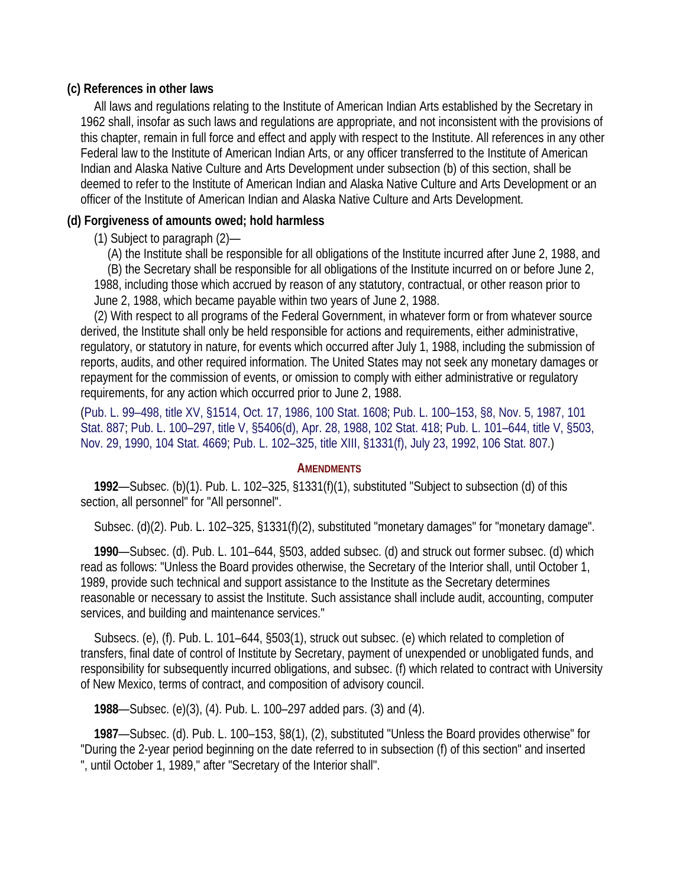## **(c) References in other laws**

All laws and regulations relating to the Institute of American Indian Arts established by the Secretary in 1962 shall, insofar as such laws and regulations are appropriate, and not inconsistent with the provisions of this chapter, remain in full force and effect and apply with respect to the Institute. All references in any other Federal law to the Institute of American Indian Arts, or any officer transferred to the Institute of American Indian and Alaska Native Culture and Arts Development under subsection (b) of this section, shall be deemed to refer to the Institute of American Indian and Alaska Native Culture and Arts Development or an officer of the Institute of American Indian and Alaska Native Culture and Arts Development.

# **(d) Forgiveness of amounts owed; hold harmless**

(1) Subject to paragraph (2)—

(A) the Institute shall be responsible for all obligations of the Institute incurred after June 2, 1988, and (B) the Secretary shall be responsible for all obligations of the Institute incurred on or before June 2, 1988, including those which accrued by reason of any statutory, contractual, or other reason prior to June 2, 1988, which became payable within two years of June 2, 1988.

(2) With respect to all programs of the Federal Government, in whatever form or from whatever source derived, the Institute shall only be held responsible for actions and requirements, either administrative, regulatory, or statutory in nature, for events which occurred after July 1, 1988, including the submission of reports, audits, and other required information. The United States may not seek any monetary damages or repayment for the commission of events, or omission to comply with either administrative or regulatory requirements, for any action which occurred prior to June 2, 1988.

(Pub. L. 99–498, title XV, §1514, Oct. 17, 1986, 100 Stat. 1608; Pub. L. 100–153, §8, Nov. 5, 1987, 101 Stat. 887; Pub. L. 100–297, title V, §5406(d), Apr. 28, 1988, 102 Stat. 418; Pub. L. 101–644, title V, §503, Nov. 29, 1990, 104 Stat. 4669; Pub. L. 102–325, title XIII, §1331(f), July 23, 1992, 106 Stat. 807.)

### **AMENDMENTS**

**1992**—Subsec. (b)(1). Pub. L. 102–325, §1331(f)(1), substituted "Subject to subsection (d) of this section, all personnel" for "All personnel".

Subsec. (d)(2). Pub. L. 102–325, §1331(f)(2), substituted "monetary damages" for "monetary damage".

**1990**—Subsec. (d). Pub. L. 101–644, §503, added subsec. (d) and struck out former subsec. (d) which read as follows: "Unless the Board provides otherwise, the Secretary of the Interior shall, until October 1, 1989, provide such technical and support assistance to the Institute as the Secretary determines reasonable or necessary to assist the Institute. Such assistance shall include audit, accounting, computer services, and building and maintenance services."

Subsecs. (e), (f). Pub. L. 101–644, §503(1), struck out subsec. (e) which related to completion of transfers, final date of control of Institute by Secretary, payment of unexpended or unobligated funds, and responsibility for subsequently incurred obligations, and subsec. (f) which related to contract with University of New Mexico, terms of contract, and composition of advisory council.

**1988**—Subsec. (e)(3), (4). Pub. L. 100–297 added pars. (3) and (4).

**1987**—Subsec. (d). Pub. L. 100–153, §8(1), (2), substituted "Unless the Board provides otherwise" for "During the 2-year period beginning on the date referred to in subsection (f) of this section" and inserted ", until October 1, 1989," after "Secretary of the Interior shall".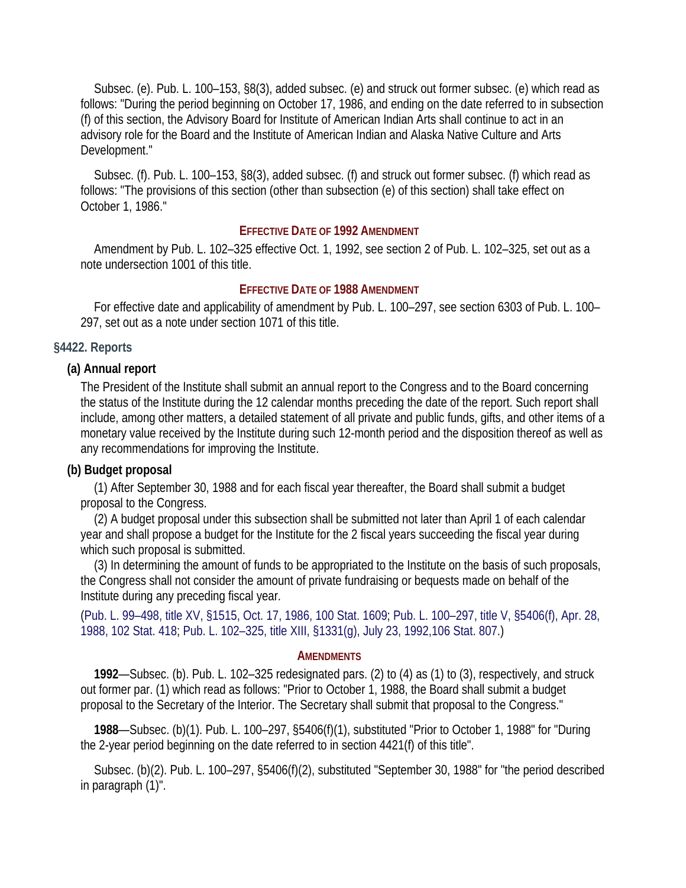Subsec. (e). Pub. L. 100–153, §8(3), added subsec. (e) and struck out former subsec. (e) which read as follows: "During the period beginning on October 17, 1986, and ending on the date referred to in subsection (f) of this section, the Advisory Board for Institute of American Indian Arts shall continue to act in an advisory role for the Board and the Institute of American Indian and Alaska Native Culture and Arts Development."

Subsec. (f). Pub. L. 100–153, §8(3), added subsec. (f) and struck out former subsec. (f) which read as follows: "The provisions of this section (other than subsection (e) of this section) shall take effect on October 1, 1986."

#### **EFFECTIVE DATE OF 1992 AMENDMENT**

Amendment by Pub. L. 102–325 effective Oct. 1, 1992, see section 2 of Pub. L. 102–325, set out as a note undersection 1001 of this title.

#### **EFFECTIVE DATE OF 1988 AMENDMENT**

For effective date and applicability of amendment by Pub. L. 100–297, see section 6303 of Pub. L. 100– 297, set out as a note under section 1071 of this title.

#### **§4422. Reports**

#### **(a) Annual report**

The President of the Institute shall submit an annual report to the Congress and to the Board concerning the status of the Institute during the 12 calendar months preceding the date of the report. Such report shall include, among other matters, a detailed statement of all private and public funds, gifts, and other items of a monetary value received by the Institute during such 12-month period and the disposition thereof as well as any recommendations for improving the Institute.

#### **(b) Budget proposal**

(1) After September 30, 1988 and for each fiscal year thereafter, the Board shall submit a budget proposal to the Congress.

(2) A budget proposal under this subsection shall be submitted not later than April 1 of each calendar year and shall propose a budget for the Institute for the 2 fiscal years succeeding the fiscal year during which such proposal is submitted.

(3) In determining the amount of funds to be appropriated to the Institute on the basis of such proposals, the Congress shall not consider the amount of private fundraising or bequests made on behalf of the Institute during any preceding fiscal year.

(Pub. L. 99–498, title XV, §1515, Oct. 17, 1986, 100 Stat. 1609; Pub. L. 100–297, title V, §5406(f), Apr. 28, 1988, 102 Stat. 418; Pub. L. 102–325, title XIII, §1331(g), July 23, 1992,106 Stat. 807.)

#### **AMENDMENTS**

**1992**—Subsec. (b). Pub. L. 102–325 redesignated pars. (2) to (4) as (1) to (3), respectively, and struck out former par. (1) which read as follows: "Prior to October 1, 1988, the Board shall submit a budget proposal to the Secretary of the Interior. The Secretary shall submit that proposal to the Congress."

**1988**—Subsec. (b)(1). Pub. L. 100–297, §5406(f)(1), substituted "Prior to October 1, 1988" for "During the 2-year period beginning on the date referred to in section 4421(f) of this title".

Subsec. (b)(2). Pub. L. 100–297, §5406(f)(2), substituted "September 30, 1988" for "the period described in paragraph (1)".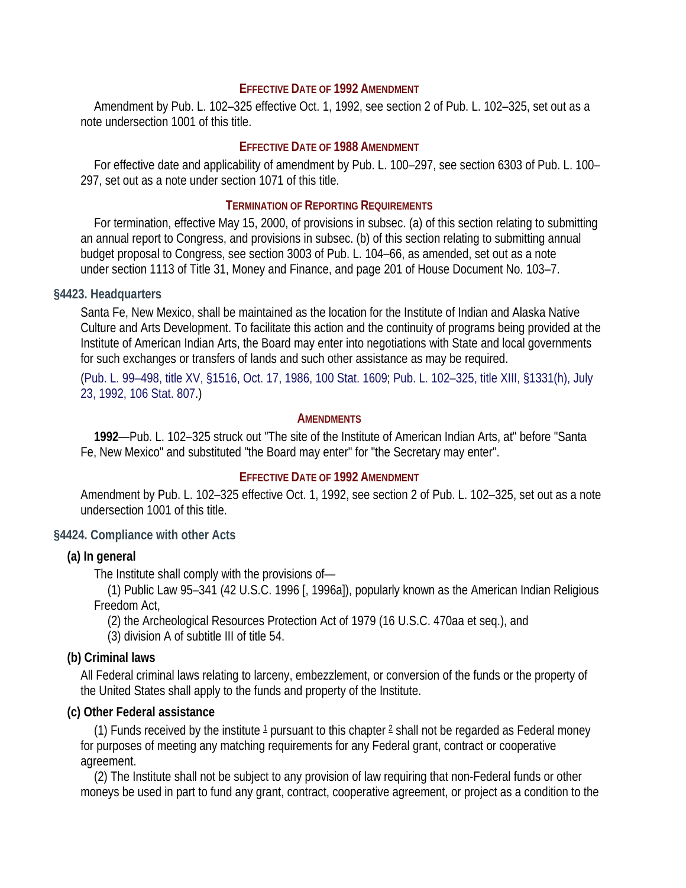#### **EFFECTIVE DATE OF 1992 AMENDMENT**

Amendment by Pub. L. 102–325 effective Oct. 1, 1992, see section 2 of Pub. L. 102–325, set out as a note undersection 1001 of this title.

#### **EFFECTIVE DATE OF 1988 AMENDMENT**

For effective date and applicability of amendment by Pub. L. 100–297, see section 6303 of Pub. L. 100– 297, set out as a note under section 1071 of this title.

#### **TERMINATION OF REPORTING REQUIREMENTS**

For termination, effective May 15, 2000, of provisions in subsec. (a) of this section relating to submitting an annual report to Congress, and provisions in subsec. (b) of this section relating to submitting annual budget proposal to Congress, see section 3003 of Pub. L. 104–66, as amended, set out as a note under section 1113 of Title 31, Money and Finance, and page 201 of House Document No. 103–7.

#### **§4423. Headquarters**

Santa Fe, New Mexico, shall be maintained as the location for the Institute of Indian and Alaska Native Culture and Arts Development. To facilitate this action and the continuity of programs being provided at the Institute of American Indian Arts, the Board may enter into negotiations with State and local governments for such exchanges or transfers of lands and such other assistance as may be required.

(Pub. L. 99–498, title XV, §1516, Oct. 17, 1986, 100 Stat. 1609; Pub. L. 102–325, title XIII, §1331(h), July 23, 1992, 106 Stat. 807.)

#### **AMENDMENTS**

**1992**—Pub. L. 102–325 struck out "The site of the Institute of American Indian Arts, at" before "Santa Fe, New Mexico" and substituted "the Board may enter" for "the Secretary may enter".

## **EFFECTIVE DATE OF 1992 AMENDMENT**

Amendment by Pub. L. 102–325 effective Oct. 1, 1992, see section 2 of Pub. L. 102–325, set out as a note undersection 1001 of this title.

#### **§4424. Compliance with other Acts**

#### **(a) In general**

The Institute shall comply with the provisions of—

(1) Public Law 95–341 (42 U.S.C. 1996 [, 1996a]), popularly known as the American Indian Religious Freedom Act,

(2) the Archeological Resources Protection Act of 1979 (16 U.S.C. 470aa et seq.), and

(3) division A of subtitle III of title 54.

#### **(b) Criminal laws**

All Federal criminal laws relating to larceny, embezzlement, or conversion of the funds or the property of the United States shall apply to the funds and property of the Institute.

#### **(c) Other Federal assistance**

(1) Funds received by the institute  $1$  pursuant to this chapter  $2$  shall not be regarded as Federal money for purposes of meeting any matching requirements for any Federal grant, contract or cooperative agreement.

(2) The Institute shall not be subject to any provision of law requiring that non-Federal funds or other moneys be used in part to fund any grant, contract, cooperative agreement, or project as a condition to the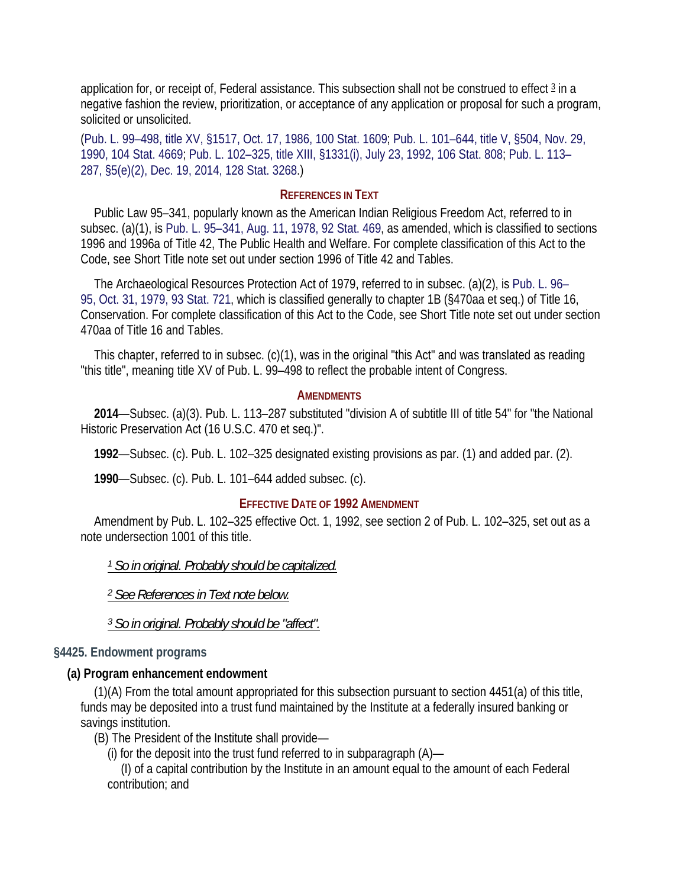application for, or receipt of, Federal assistance. This subsection shall not be construed to effect 3 in a negative fashion the review, prioritization, or acceptance of any application or proposal for such a program, solicited or unsolicited.

(Pub. L. 99–498, title XV, §1517, Oct. 17, 1986, 100 Stat. 1609; Pub. L. 101–644, title V, §504, Nov. 29, 1990, 104 Stat. 4669; Pub. L. 102–325, title XIII, §1331(i), July 23, 1992, 106 Stat. 808; Pub. L. 113– 287, §5(e)(2), Dec. 19, 2014, 128 Stat. 3268.)

#### **REFERENCES IN TEXT**

Public Law 95–341, popularly known as the American Indian Religious Freedom Act, referred to in subsec. (a)(1), is Pub. L. 95–341, Aug. 11, 1978, 92 Stat. 469, as amended, which is classified to sections 1996 and 1996a of Title 42, The Public Health and Welfare. For complete classification of this Act to the Code, see Short Title note set out under section 1996 of Title 42 and Tables.

The Archaeological Resources Protection Act of 1979, referred to in subsec. (a)(2), is Pub. L. 96– 95, Oct. 31, 1979, 93 Stat. 721, which is classified generally to chapter 1B (§470aa et seq.) of Title 16, Conservation. For complete classification of this Act to the Code, see Short Title note set out under section 470aa of Title 16 and Tables.

This chapter, referred to in subsec. (c)(1), was in the original "this Act" and was translated as reading "this title", meaning title XV of Pub. L. 99–498 to reflect the probable intent of Congress.

#### **AMENDMENTS**

**2014**—Subsec. (a)(3). Pub. L. 113–287 substituted "division A of subtitle III of title 54" for "the National Historic Preservation Act (16 U.S.C. 470 et seq.)".

**1992**—Subsec. (c). Pub. L. 102–325 designated existing provisions as par. (1) and added par. (2).

**1990**—Subsec. (c). Pub. L. 101–644 added subsec. (c).

#### **EFFECTIVE DATE OF 1992 AMENDMENT**

Amendment by Pub. L. 102–325 effective Oct. 1, 1992, see section 2 of Pub. L. 102–325, set out as a note undersection 1001 of this title.

*1 So in original. Probably should be capitalized.* 

*2 See References in Text note below.* 

*3 So in original. Probably should be "affect".* 

#### **§4425. Endowment programs**

### **(a) Program enhancement endowment**

(1)(A) From the total amount appropriated for this subsection pursuant to section 4451(a) of this title, funds may be deposited into a trust fund maintained by the Institute at a federally insured banking or savings institution.

(B) The President of the Institute shall provide—

(i) for the deposit into the trust fund referred to in subparagraph  $(A)$ —

(I) of a capital contribution by the Institute in an amount equal to the amount of each Federal contribution; and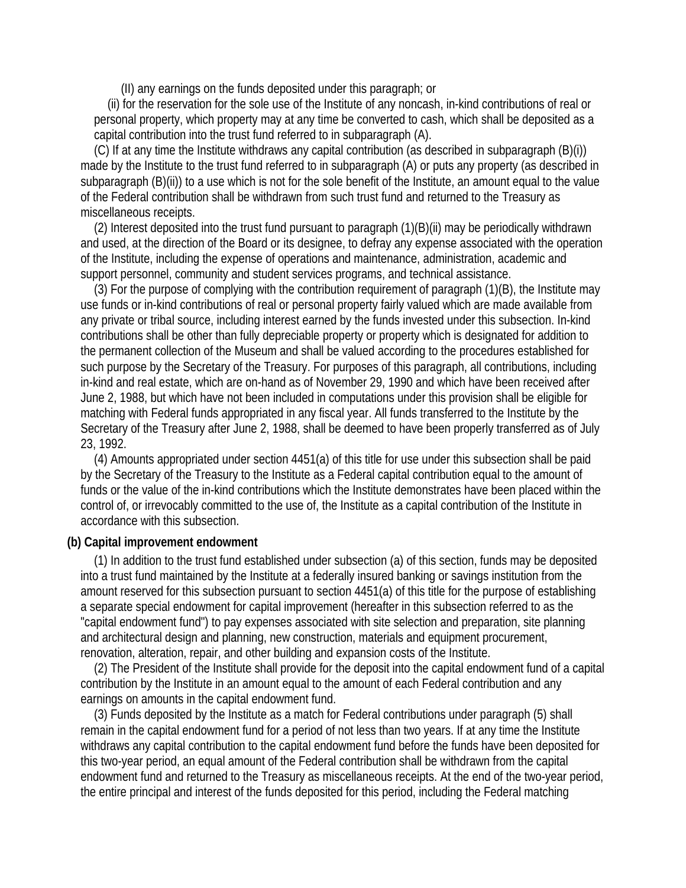(II) any earnings on the funds deposited under this paragraph; or

(ii) for the reservation for the sole use of the Institute of any noncash, in-kind contributions of real or personal property, which property may at any time be converted to cash, which shall be deposited as a capital contribution into the trust fund referred to in subparagraph (A).

(C) If at any time the Institute withdraws any capital contribution (as described in subparagraph (B)(i)) made by the Institute to the trust fund referred to in subparagraph (A) or puts any property (as described in subparagraph (B)(ii)) to a use which is not for the sole benefit of the Institute, an amount equal to the value of the Federal contribution shall be withdrawn from such trust fund and returned to the Treasury as miscellaneous receipts.

(2) Interest deposited into the trust fund pursuant to paragraph (1)(B)(ii) may be periodically withdrawn and used, at the direction of the Board or its designee, to defray any expense associated with the operation of the Institute, including the expense of operations and maintenance, administration, academic and support personnel, community and student services programs, and technical assistance.

(3) For the purpose of complying with the contribution requirement of paragraph (1)(B), the Institute may use funds or in-kind contributions of real or personal property fairly valued which are made available from any private or tribal source, including interest earned by the funds invested under this subsection. In-kind contributions shall be other than fully depreciable property or property which is designated for addition to the permanent collection of the Museum and shall be valued according to the procedures established for such purpose by the Secretary of the Treasury. For purposes of this paragraph, all contributions, including in-kind and real estate, which are on-hand as of November 29, 1990 and which have been received after June 2, 1988, but which have not been included in computations under this provision shall be eligible for matching with Federal funds appropriated in any fiscal year. All funds transferred to the Institute by the Secretary of the Treasury after June 2, 1988, shall be deemed to have been properly transferred as of July 23, 1992.

(4) Amounts appropriated under section 4451(a) of this title for use under this subsection shall be paid by the Secretary of the Treasury to the Institute as a Federal capital contribution equal to the amount of funds or the value of the in-kind contributions which the Institute demonstrates have been placed within the control of, or irrevocably committed to the use of, the Institute as a capital contribution of the Institute in accordance with this subsection.

### **(b) Capital improvement endowment**

(1) In addition to the trust fund established under subsection (a) of this section, funds may be deposited into a trust fund maintained by the Institute at a federally insured banking or savings institution from the amount reserved for this subsection pursuant to section 4451(a) of this title for the purpose of establishing a separate special endowment for capital improvement (hereafter in this subsection referred to as the "capital endowment fund") to pay expenses associated with site selection and preparation, site planning and architectural design and planning, new construction, materials and equipment procurement, renovation, alteration, repair, and other building and expansion costs of the Institute.

(2) The President of the Institute shall provide for the deposit into the capital endowment fund of a capital contribution by the Institute in an amount equal to the amount of each Federal contribution and any earnings on amounts in the capital endowment fund.

(3) Funds deposited by the Institute as a match for Federal contributions under paragraph (5) shall remain in the capital endowment fund for a period of not less than two years. If at any time the Institute withdraws any capital contribution to the capital endowment fund before the funds have been deposited for this two-year period, an equal amount of the Federal contribution shall be withdrawn from the capital endowment fund and returned to the Treasury as miscellaneous receipts. At the end of the two-year period, the entire principal and interest of the funds deposited for this period, including the Federal matching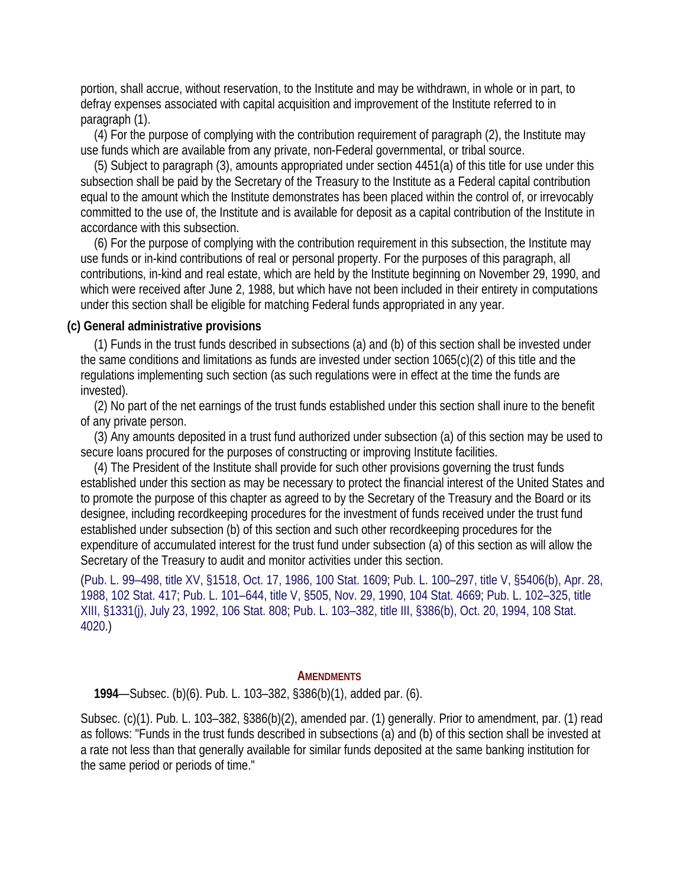portion, shall accrue, without reservation, to the Institute and may be withdrawn, in whole or in part, to defray expenses associated with capital acquisition and improvement of the Institute referred to in paragraph (1).

(4) For the purpose of complying with the contribution requirement of paragraph (2), the Institute may use funds which are available from any private, non-Federal governmental, or tribal source.

(5) Subject to paragraph (3), amounts appropriated under section 4451(a) of this title for use under this subsection shall be paid by the Secretary of the Treasury to the Institute as a Federal capital contribution equal to the amount which the Institute demonstrates has been placed within the control of, or irrevocably committed to the use of, the Institute and is available for deposit as a capital contribution of the Institute in accordance with this subsection.

(6) For the purpose of complying with the contribution requirement in this subsection, the Institute may use funds or in-kind contributions of real or personal property. For the purposes of this paragraph, all contributions, in-kind and real estate, which are held by the Institute beginning on November 29, 1990, and which were received after June 2, 1988, but which have not been included in their entirety in computations under this section shall be eligible for matching Federal funds appropriated in any year.

#### **(c) General administrative provisions**

(1) Funds in the trust funds described in subsections (a) and (b) of this section shall be invested under the same conditions and limitations as funds are invested under section 1065(c)(2) of this title and the regulations implementing such section (as such regulations were in effect at the time the funds are invested).

(2) No part of the net earnings of the trust funds established under this section shall inure to the benefit of any private person.

(3) Any amounts deposited in a trust fund authorized under subsection (a) of this section may be used to secure loans procured for the purposes of constructing or improving Institute facilities.

(4) The President of the Institute shall provide for such other provisions governing the trust funds established under this section as may be necessary to protect the financial interest of the United States and to promote the purpose of this chapter as agreed to by the Secretary of the Treasury and the Board or its designee, including recordkeeping procedures for the investment of funds received under the trust fund established under subsection (b) of this section and such other recordkeeping procedures for the expenditure of accumulated interest for the trust fund under subsection (a) of this section as will allow the Secretary of the Treasury to audit and monitor activities under this section.

(Pub. L. 99–498, title XV, §1518, Oct. 17, 1986, 100 Stat. 1609; Pub. L. 100–297, title V, §5406(b), Apr. 28, 1988, 102 Stat. 417; Pub. L. 101–644, title V, §505, Nov. 29, 1990, 104 Stat. 4669; Pub. L. 102–325, title XIII, §1331(j), July 23, 1992, 106 Stat. 808; Pub. L. 103–382, title III, §386(b), Oct. 20, 1994, 108 Stat. 4020.)

#### **AMENDMENTS**

**1994**—Subsec. (b)(6). Pub. L. 103–382, §386(b)(1), added par. (6).

Subsec. (c)(1). Pub. L. 103–382, §386(b)(2), amended par. (1) generally. Prior to amendment, par. (1) read as follows: "Funds in the trust funds described in subsections (a) and (b) of this section shall be invested at a rate not less than that generally available for similar funds deposited at the same banking institution for the same period or periods of time."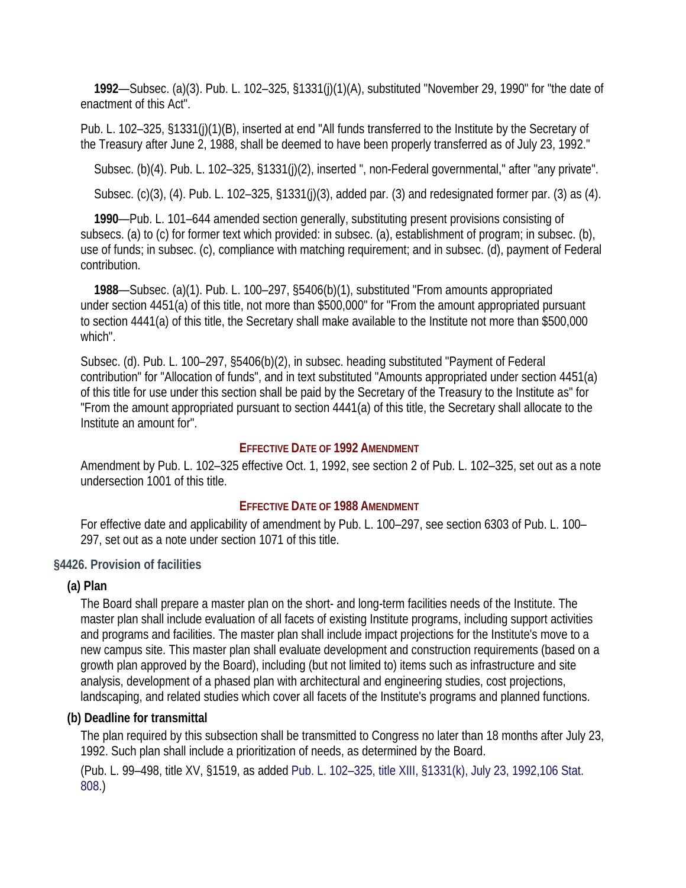**1992**—Subsec. (a)(3). Pub. L. 102–325, §1331(j)(1)(A), substituted "November 29, 1990" for "the date of enactment of this Act".

Pub. L. 102–325, §1331(j)(1)(B), inserted at end "All funds transferred to the Institute by the Secretary of the Treasury after June 2, 1988, shall be deemed to have been properly transferred as of July 23, 1992."

Subsec. (b)(4). Pub. L. 102–325, §1331(j)(2), inserted ", non-Federal governmental," after "any private".

Subsec. (c)(3), (4). Pub. L. 102–325, §1331(j)(3), added par. (3) and redesignated former par. (3) as (4).

**1990**—Pub. L. 101–644 amended section generally, substituting present provisions consisting of subsecs. (a) to (c) for former text which provided: in subsec. (a), establishment of program; in subsec. (b), use of funds; in subsec. (c), compliance with matching requirement; and in subsec. (d), payment of Federal contribution.

**1988**—Subsec. (a)(1). Pub. L. 100–297, §5406(b)(1), substituted "From amounts appropriated under section 4451(a) of this title, not more than \$500,000" for "From the amount appropriated pursuant to section 4441(a) of this title, the Secretary shall make available to the Institute not more than \$500,000 which".

Subsec. (d). Pub. L. 100–297, §5406(b)(2), in subsec. heading substituted "Payment of Federal contribution" for "Allocation of funds", and in text substituted "Amounts appropriated under section 4451(a) of this title for use under this section shall be paid by the Secretary of the Treasury to the Institute as" for "From the amount appropriated pursuant to section 4441(a) of this title, the Secretary shall allocate to the Institute an amount for".

## **EFFECTIVE DATE OF 1992 AMENDMENT**

Amendment by Pub. L. 102–325 effective Oct. 1, 1992, see section 2 of Pub. L. 102–325, set out as a note undersection 1001 of this title.

# **EFFECTIVE DATE OF 1988 AMENDMENT**

For effective date and applicability of amendment by Pub. L. 100–297, see section 6303 of Pub. L. 100– 297, set out as a note under section 1071 of this title.

# **§4426. Provision of facilities**

# **(a) Plan**

The Board shall prepare a master plan on the short- and long-term facilities needs of the Institute. The master plan shall include evaluation of all facets of existing Institute programs, including support activities and programs and facilities. The master plan shall include impact projections for the Institute's move to a new campus site. This master plan shall evaluate development and construction requirements (based on a growth plan approved by the Board), including (but not limited to) items such as infrastructure and site analysis, development of a phased plan with architectural and engineering studies, cost projections, landscaping, and related studies which cover all facets of the Institute's programs and planned functions.

# **(b) Deadline for transmittal**

The plan required by this subsection shall be transmitted to Congress no later than 18 months after July 23, 1992. Such plan shall include a prioritization of needs, as determined by the Board.

(Pub. L. 99–498, title XV, §1519, as added Pub. L. 102–325, title XIII, §1331(k), July 23, 1992,106 Stat. 808.)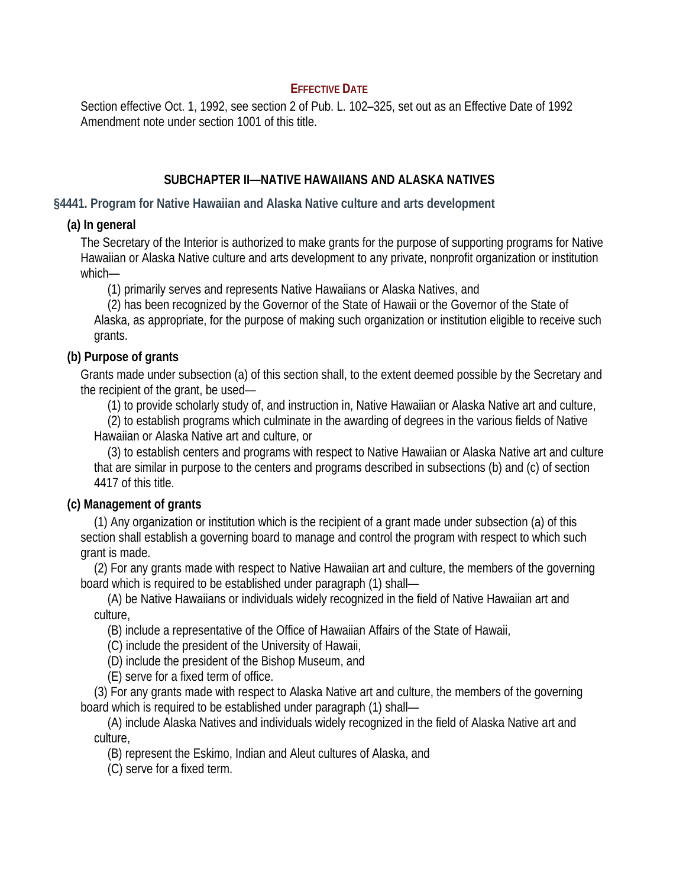# **EFFECTIVE DATE**

Section effective Oct. 1, 1992, see section 2 of Pub. L. 102–325, set out as an Effective Date of 1992 Amendment note under section 1001 of this title.

# **SUBCHAPTER II—NATIVE HAWAIIANS AND ALASKA NATIVES**

**§4441. Program for Native Hawaiian and Alaska Native culture and arts development** 

# **(a) In general**

The Secretary of the Interior is authorized to make grants for the purpose of supporting programs for Native Hawaiian or Alaska Native culture and arts development to any private, nonprofit organization or institution which—

(1) primarily serves and represents Native Hawaiians or Alaska Natives, and

(2) has been recognized by the Governor of the State of Hawaii or the Governor of the State of Alaska, as appropriate, for the purpose of making such organization or institution eligible to receive such grants.

# **(b) Purpose of grants**

Grants made under subsection (a) of this section shall, to the extent deemed possible by the Secretary and the recipient of the grant, be used—

(1) to provide scholarly study of, and instruction in, Native Hawaiian or Alaska Native art and culture,

(2) to establish programs which culminate in the awarding of degrees in the various fields of Native Hawaiian or Alaska Native art and culture, or

(3) to establish centers and programs with respect to Native Hawaiian or Alaska Native art and culture that are similar in purpose to the centers and programs described in subsections (b) and (c) of section 4417 of this title.

# **(c) Management of grants**

(1) Any organization or institution which is the recipient of a grant made under subsection (a) of this section shall establish a governing board to manage and control the program with respect to which such grant is made.

(2) For any grants made with respect to Native Hawaiian art and culture, the members of the governing board which is required to be established under paragraph (1) shall—

(A) be Native Hawaiians or individuals widely recognized in the field of Native Hawaiian art and culture,

(B) include a representative of the Office of Hawaiian Affairs of the State of Hawaii,

(C) include the president of the University of Hawaii,

(D) include the president of the Bishop Museum, and

(E) serve for a fixed term of office.

(3) For any grants made with respect to Alaska Native art and culture, the members of the governing board which is required to be established under paragraph (1) shall—

(A) include Alaska Natives and individuals widely recognized in the field of Alaska Native art and culture,

(B) represent the Eskimo, Indian and Aleut cultures of Alaska, and

(C) serve for a fixed term.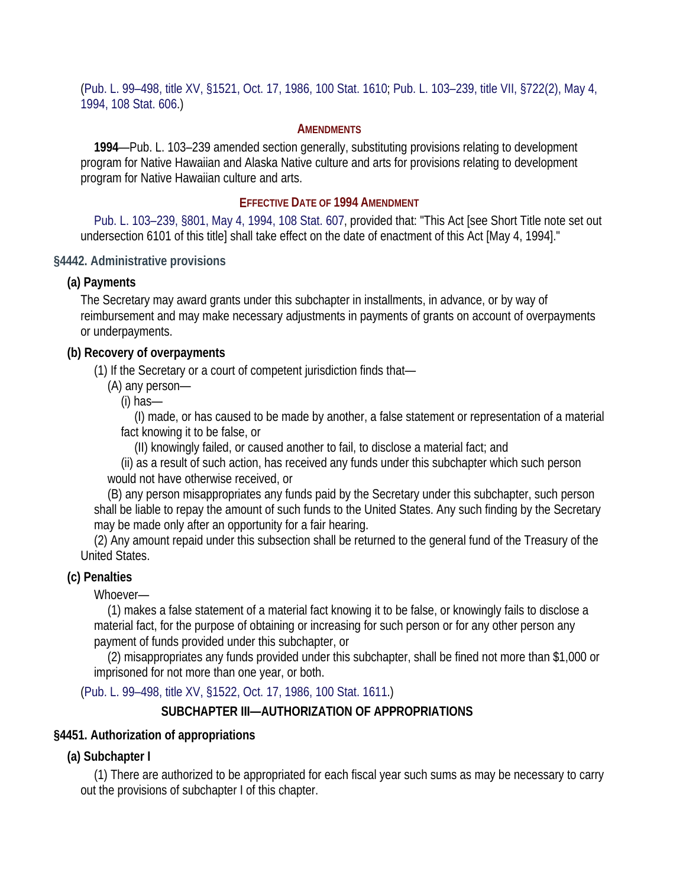(Pub. L. 99–498, title XV, §1521, Oct. 17, 1986, 100 Stat. 1610; Pub. L. 103–239, title VII, §722(2), May 4, 1994, 108 Stat. 606.)

#### **AMENDMENTS**

**1994**—Pub. L. 103–239 amended section generally, substituting provisions relating to development program for Native Hawaiian and Alaska Native culture and arts for provisions relating to development program for Native Hawaiian culture and arts.

### **EFFECTIVE DATE OF 1994 AMENDMENT**

Pub. L. 103–239, §801, May 4, 1994, 108 Stat. 607, provided that: "This Act [see Short Title note set out undersection 6101 of this title] shall take effect on the date of enactment of this Act [May 4, 1994]."

#### **§4442. Administrative provisions**

#### **(a) Payments**

The Secretary may award grants under this subchapter in installments, in advance, or by way of reimbursement and may make necessary adjustments in payments of grants on account of overpayments or underpayments.

### **(b) Recovery of overpayments**

(1) If the Secretary or a court of competent jurisdiction finds that—

(A) any person—

(i) has—

(I) made, or has caused to be made by another, a false statement or representation of a material fact knowing it to be false, or

(II) knowingly failed, or caused another to fail, to disclose a material fact; and

(ii) as a result of such action, has received any funds under this subchapter which such person would not have otherwise received, or

(B) any person misappropriates any funds paid by the Secretary under this subchapter, such person shall be liable to repay the amount of such funds to the United States. Any such finding by the Secretary may be made only after an opportunity for a fair hearing.

(2) Any amount repaid under this subsection shall be returned to the general fund of the Treasury of the United States.

### **(c) Penalties**

Whoever—

(1) makes a false statement of a material fact knowing it to be false, or knowingly fails to disclose a material fact, for the purpose of obtaining or increasing for such person or for any other person any payment of funds provided under this subchapter, or

(2) misappropriates any funds provided under this subchapter, shall be fined not more than \$1,000 or imprisoned for not more than one year, or both.

(Pub. L. 99–498, title XV, §1522, Oct. 17, 1986, 100 Stat. 1611.)

### **SUBCHAPTER III—AUTHORIZATION OF APPROPRIATIONS**

### **§4451. Authorization of appropriations**

### **(a) Subchapter I**

(1) There are authorized to be appropriated for each fiscal year such sums as may be necessary to carry out the provisions of subchapter I of this chapter.